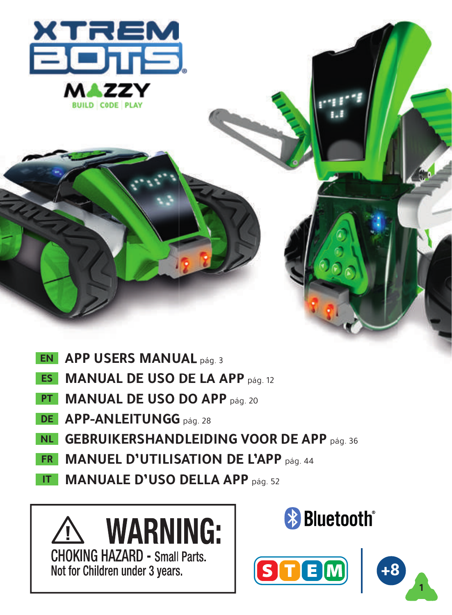

- **APP USERS MANUAL** pág. 3 **EN**
- **MANUAL DE USO DE LA APP** pág. 12 **ES**
- **MANUAL DE USO DO APP** pág. 20 **PT**
- **APP-ANLEITUNGG** pág. 28 **DE**
- **GEBRUIKERSHANDLEIDING VOOR DE APP** pág. 36 **NL**
- **MANUEL D'UTILISATION DE L'APP** pág. 44 **FR**
- **MANUALE D'USO DELLA APP** pág. 52 **IT**





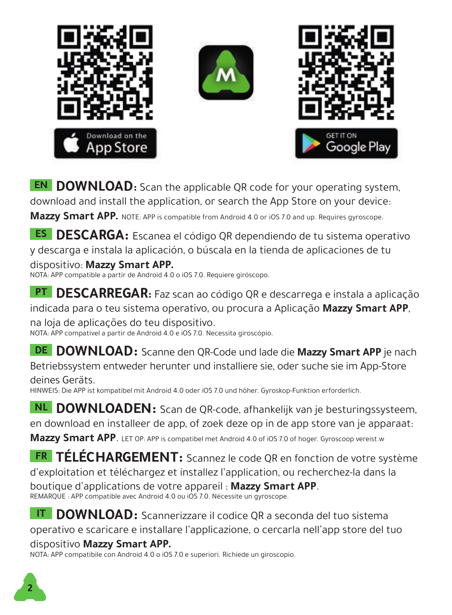





**EN DOWNLOAD:** Scan the applicable QR code for your operating system, download and install the application, or search the App Store on your device:

**Mazzy Smart APP.** NOTE: APP is compatible from Android 4.0 or iOS 7.0 and up. Requires gyroscope.

**ES DESCARGA:** Escanea el código QR dependiendo de tu sistema operativo y descarga e instala la aplicación, o búscala en la tienda de aplicaciones de tu

dispositivo: **Mazzy Smart APP.** NOTA: APP compatible a partir de Android 4.0 o iOS 7.0. Requiere giróscopo.

**PT DESCARREGAR:** Faz scan ao código QR e descarrega e instala a aplicação indicada para o teu sistema operativo, ou procura a Aplicação **Mazzy Smart APP**,

na loja de aplicações do teu dispositivo. NOTA: APP compatível a partir de Android 4.0 e iOS 7.0. Necessita giroscópio.

**DE DOWNLOAD:** Scanne den QR-Code und lade die Mazzy Smart APP je nach Betriebssystem entweder herunter und installiere sie, oder suche sie im App-Store deines Geräts.

HINWEIS: Die APP ist kompatibel mit Android 4.0 oder iOS 7.0 und höher. Gyroskop-Funktion erforderlich.

**NL DOWNLOADEN:** Scan de QR-code, afhankelijk van je besturingssysteem, en download en installeer de app, of zoek deze op in de app store van je apparaat:

**Mazzy Smart APP**. LET OP: APP is compatibel met Android 4.0 of iOS 7.0 of hoger. Gyroscoop vereist.w

**FR TÉLÉCHARGEMENT:** Scannez le code QR en fonction de votre système d'exploitation et téléchargez et installez l'application, ou recherchez-la dans la boutique d'applications de votre appareil : **Mazzy Smart APP**. REMARQUE : APP compatible avec Android 4.0 ou iOS 7.0. Nécessite un gyroscope.

**IT DOWNLOAD:** Scannerizzare il codice QR a seconda del tuo sistema operativo e scaricare e installare l'applicazione, o cercarla nell'app store del tuo dispositivo **Mazzy Smart APP.**

NOTA: APP compatibile con Android 4.0 o iOS 7.0 e superiori. Richiede un giroscopio.

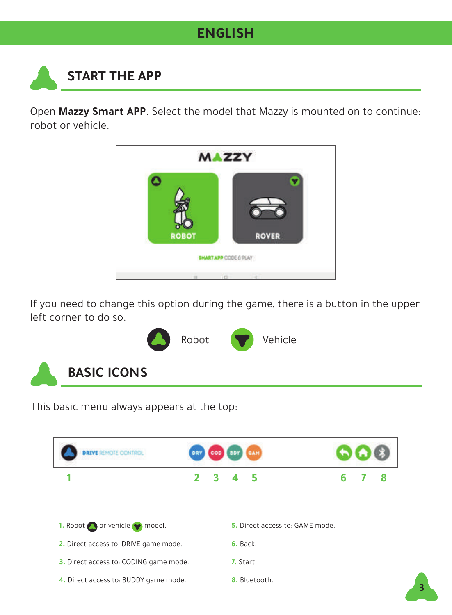### **ENGLISH**

# **START THE APP**

Open **Mazzy Smart APP**. Select the model that Mazzy is mounted on to continue: robot or vehicle.



If you need to change this option during the game, there is a button in the upper left corner to do so.



This basic menu always appears at the top:

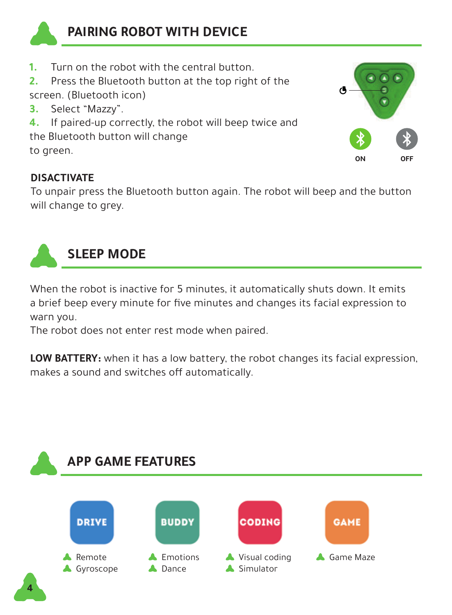

### **PAIRING ROBOT WITH DEVICE**

- **1. 1. Turn on the robot with the central button.**<br>**2. Prose the Bluetooth button at the top right**
- **2.** Press the Bluetooth button at the top right of the screen. (Bluetooth icon)
- **3.** Select "Mazzy".
- **4.** If paired-up correctly, the robot will beep twice and

the Bluetooth button will change to green.

### **DISACTIVATE**

To unpair press the Bluetooth button again. The robot will beep and the button will change to grey.

**ON OFF**



When the robot is inactive for 5 minutes, it automatically shuts down. It emits a brief beep every minute for five minutes and changes its facial expression to warn you.

The robot does not enter rest mode when paired.

**LOW BATTERY:** when it has a low battery, the robot changes its facial expression, makes a sound and switches off automatically.

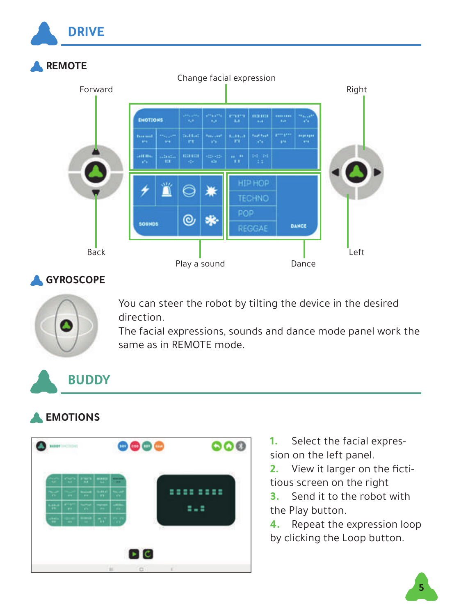

#### **GYROSCOPE**



You can steer the robot by tilting the device in the desired direction.

The facial expressions, sounds and dance mode panel work the same as in REMOTE mode.

## **BUDDY**

### **EMOTIONS**



- **1.** Select the facial expression on the left panel.
- **2.** View it larger on the fictitious screen on the right
- **3.** Send it to the robot with the Play button.
- **4.** Repeat the expression loop by clicking the Loop button.

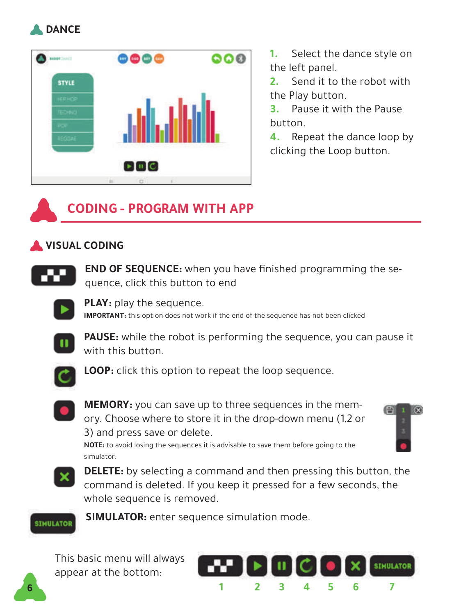



**1.** Select the dance style on the left panel.

**2.** Send it to the robot with the Play button.

**3.** Pause it with the Pause button.

**4.** Repeat the dance loop by clicking the Loop button.

## **CODING - PROGRAM WITH APP**

### **VISUAL CODING**



**END OF SEQUENCE:** when you have finished programming the sequence, click this button to end



**PLAY:** play the sequence. **IMPORTANT:** this option does not work if the end of the sequence has not been clicked



**PAUSE:** while the robot is performing the sequence, you can pause it with this button.



**LOOP:** click this option to repeat the loop sequence.



**MEMORY:** you can save up to three sequences in the memory. Choose where to store it in the drop-down menu (1,2 or 3) and press save or delete.

**NOTE:** to avoid losing the sequences it is advisable to save them before going to the

曲



simulator.

**DELETE:** by selecting a command and then pressing this button, the command is deleted. If you keep it pressed for a few seconds, the whole sequence is removed.



**SIMULATOR:** enter sequence simulation mode.

This basic menu will always appear at the bottom:



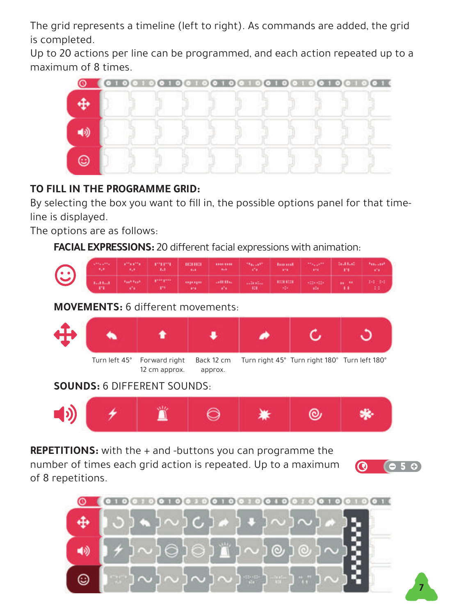The grid represents a timeline (left to right). As commands are added, the grid is completed.

Up to 20 actions per line can be programmed, and each action repeated up to a maximum of 8 times.



### **TO FILL IN THE PROGRAMME GRID:**

By selecting the box you want to fill in, the possible options panel for that timeline is displayed.

The options are as follows:

**FACIAL EXPRESSIONS:** 20 different facial expressions with animation:

|  |  | <b>CONTRACT CONTRACT CONTRACT CONTRACT</b> |  |  |  |
|--|--|--------------------------------------------|--|--|--|

**MOVEMENTS:** 6 different movements:



#### **SOUNDS:** 6 DIFFERENT SOUNDS:



**REPETITIONS:** with the + and -buttons you can programme the

number of times each grid action is repeated. Up to a maximum of 8 repetitions.



**7**

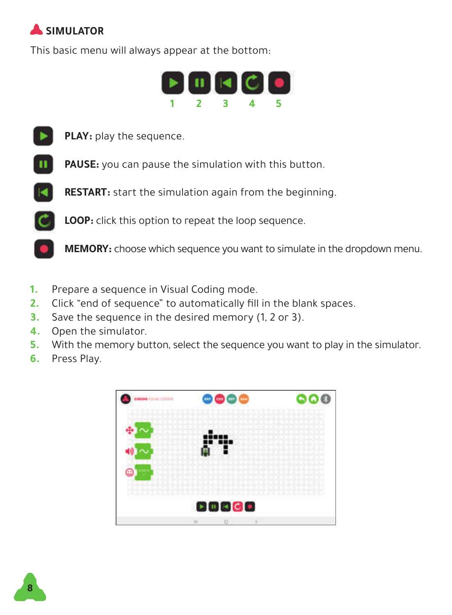## **SIMULATOR**

This basic menu will always appear at the bottom:





**PLAY:** play the sequence.



**PAUSE:** you can pause the simulation with this button.



**RESTART:** start the simulation again from the beginning.



**LOOP:** click this option to repeat the loop sequence.

**MEMORY:** choose which sequence you want to simulate in the dropdown menu.

- **1.** Prepare a sequence in Visual Coding mode.
- **2.** Click "end of sequence" to automatically fill in the blank spaces.
- **3.** Save the sequence in the desired memory (1, 2 or 3).
- **4.** Open the simulator.
- **5.** With the memory button, select the sequence you want to play in the simulator.
- **6.** Press Play.



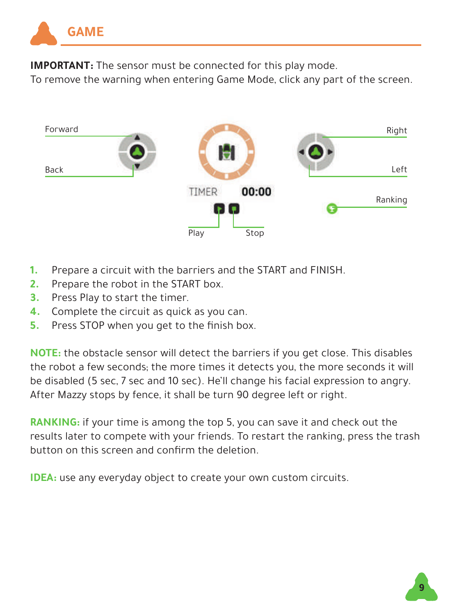

**IMPORTANT:** The sensor must be connected for this play mode.

To remove the warning when entering Game Mode, click any part of the screen.



- **1.** Prepare a circuit with the barriers and the START and FINISH.
- **2.** Prepare the robot in the START box.
- **3.** Press Play to start the timer.
- **4.** Complete the circuit as quick as you can.
- **5.** Press STOP when you get to the finish box.

**NOTE:** the obstacle sensor will detect the barriers if you get close. This disables the robot a few seconds; the more times it detects you, the more seconds it will be disabled (5 sec, 7 sec and 10 sec). He'll change his facial expression to angry. After Mazzy stops by fence, it shall be turn 90 degree left or right.

**RANKING:** if your time is among the top 5, you can save it and check out the results later to compete with your friends. To restart the ranking, press the trash button on this screen and confirm the deletion.

**IDEA:** use any everyday object to create your own custom circuits.

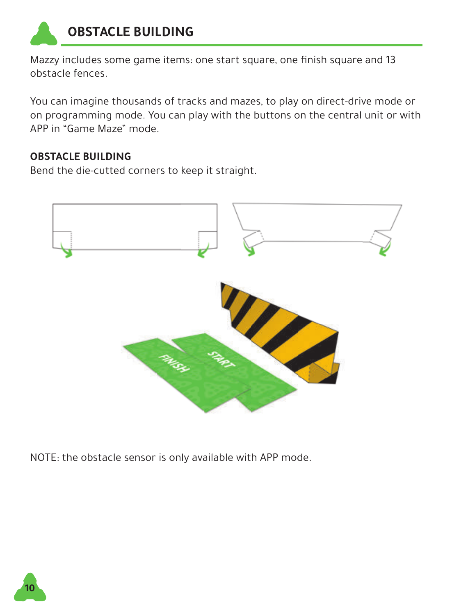

Mazzy includes some game items: one start square, one finish square and 13 obstacle fences.

You can imagine thousands of tracks and mazes, to play on direct-drive mode or on programming mode. You can play with the buttons on the central unit or with APP in "Game Maze" mode.

### **OBSTACLE BUILDING**

Bend the die-cutted corners to keep it straight.



NOTE: the obstacle sensor is only available with APP mode.

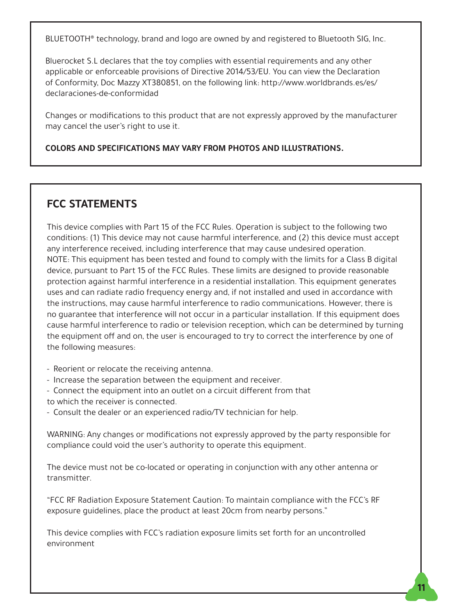BLUETOOTH® technology, brand and logo are owned by and registered to Bluetooth SIG, Inc.

Bluerocket S.L declares that the toy complies with essential requirements and any other applicable or enforceable provisions of Directive 2014/53/EU. You can view the Declaration of Conformity, Doc Mazzy XT380851, on the following link: http://www.worldbrands.es/es/ declaraciones-de-conformidad

Changes or modifications to this product that are not expressly approved by the manufacturer may cancel the user's right to use it.

#### **COLORS AND SPECIFICATIONS MAY VARY FROM PHOTOS AND ILLUSTRATIONS.**

#### **FCC STATEMENTS**

This device complies with Part 15 of the FCC Rules. Operation is subject to the following two conditions: (1) This device may not cause harmful interference, and (2) this device must accept any interference received, including interference that may cause undesired operation. NOTE: This equipment has been tested and found to comply with the limits for a Class B digital device, pursuant to Part 15 of the FCC Rules. These limits are designed to provide reasonable protection against harmful interference in a residential installation. This equipment generates uses and can radiate radio frequency energy and, if not installed and used in accordance with the instructions, may cause harmful interference to radio communications. However, there is no guarantee that interference will not occur in a particular installation. If this equipment does cause harmful interference to radio or television reception, which can be determined by turning the equipment off and on, the user is encouraged to try to correct the interference by one of the following measures:

- Reorient or relocate the receiving antenna.
- Increase the separation between the equipment and receiver.
- Connect the equipment into an outlet on a circuit different from that to which the receiver is connected.
- Consult the dealer or an experienced radio/TV technician for help.

WARNING: Any changes or modifications not expressly approved by the party responsible for compliance could void the user's authority to operate this equipment.

The device must not be co-located or operating in conjunction with any other antenna or transmitter.

"FCC RF Radiation Exposure Statement Caution: To maintain compliance with the FCC's RF exposure guidelines, place the product at least 20cm from nearby persons."

This device complies with FCC's radiation exposure limits set forth for an uncontrolled environment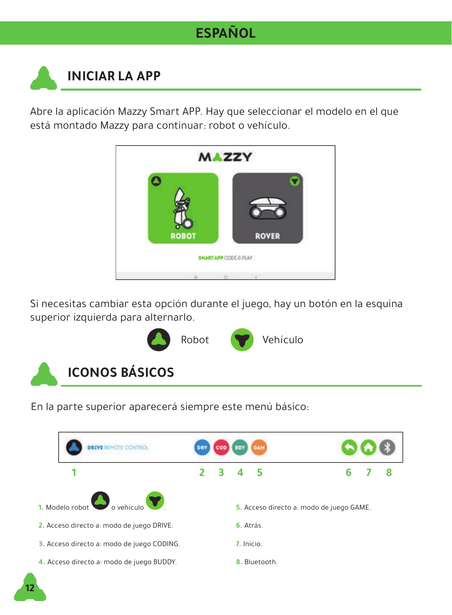## **ESPAÑOL**

## **INICIAR LA APP**

Abre la aplicación Mazzy Smart APP. Hay que seleccionar el modelo en el que está montado Mazzy para continuar: robot o vehículo.



Si necesitas cambiar esta opción durante el juego, hay un botón en la esquina superior izquierda para alternarlo.



En la parte superior aparecerá siempre este menú básico:

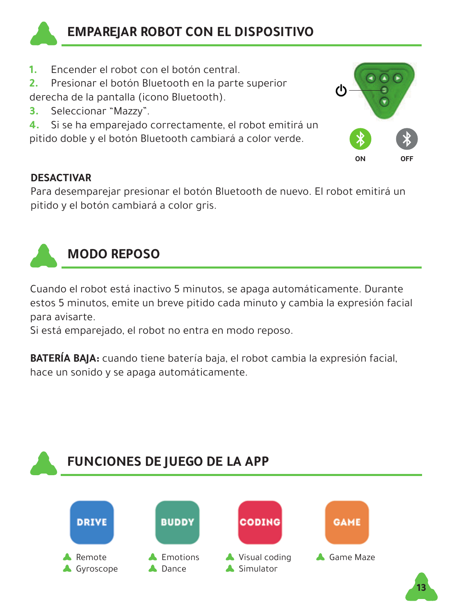

- **1.** Encender el robot con el botón central.
- **2.** Presionar el botón Bluetooth en la parte superior derecha de la pantalla (icono Bluetooth).
- **3.** Seleccionar "Mazzy".
- **4.** Si se ha emparejado correctamente, el robot emitirá un

pitido doble y el botón Bluetooth cambiará a color verde.



#### **DESACTIVAR**

Para desemparejar presionar el botón Bluetooth de nuevo. El robot emitirá un pitido y el botón cambiará a color gris.



## **MODO REPOSO**

Cuando el robot está inactivo 5 minutos, se apaga automáticamente. Durante estos 5 minutos, emite un breve pitido cada minuto y cambia la expresión facial para avisarte.

Si está emparejado, el robot no entra en modo reposo.

**BATERÍA BAJA:** cuando tiene batería baja, el robot cambia la expresión facial, hace un sonido y se apaga automáticamente.

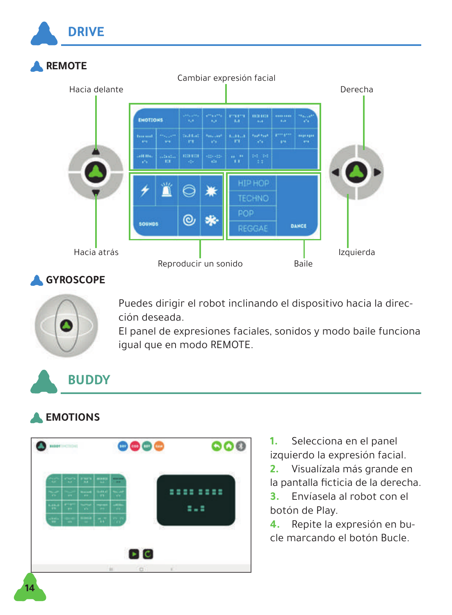

### **GYROSCOPE**



Puedes dirigir el robot inclinando el dispositivo hacia la dirección deseada.

El panel de expresiones faciales, sonidos y modo baile funciona igual que en modo REMOTE.

## **BUDDY**

### **EMOTIONS**



**1.** Selecciona en el panel izquierdo la expresión facial.

**2.** Visualízala más grande en la pantalla ficticia de la derecha.

**3.** Envíasela al robot con el botón de Play.

**4.** Repite la expresión en bucle marcando el botón Bucle.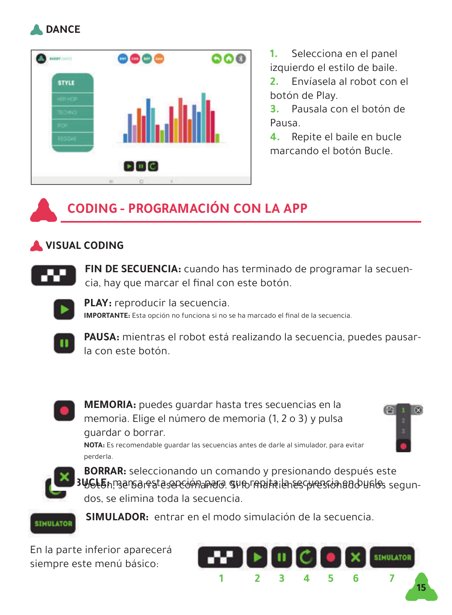



**1.** Selecciona en el panel izquierdo el estilo de baile.

**2.** Envíasela al robot con el botón de Play.

**3.** Pausala con el botón de Pausa.

**4.** Repite el baile en bucle marcando el botón Bucle.

## **CODING - PROGRAMACIÓN CON LA APP**

### **VISUAL CODING**



**FIN DE SECUENCIA:** cuando has terminado de programar la secuencia, hay que marcar el final con este botón.



**PLAY:** reproducir la secuencia. **IMPORTANTE:** Esta opción no funciona si no se ha marcado el final de la secuencia.



**PAUSA:** mientras el robot está realizando la secuencia, puedes pausarla con este botón.



**MEMORIA:** puedes guardar hasta tres secuencias en la memoria. Elige el número de memoria (1, 2 o 3) y pulsa guardar o borrar.

**NOTA:** Es recomendable guardar las secuencias antes de darle al simulador, para evitar



perderla.

3W6L5h, marca resta sen comanado. Suno rendita la res comando unos segun-**BORRAR:** seleccionando un comando y presionando después este dos, se elimina toda la secuencia.



**SIMULADOR:** entrar en el modo simulación de la secuencia.

En la parte inferior aparecerá siempre este menú básico:

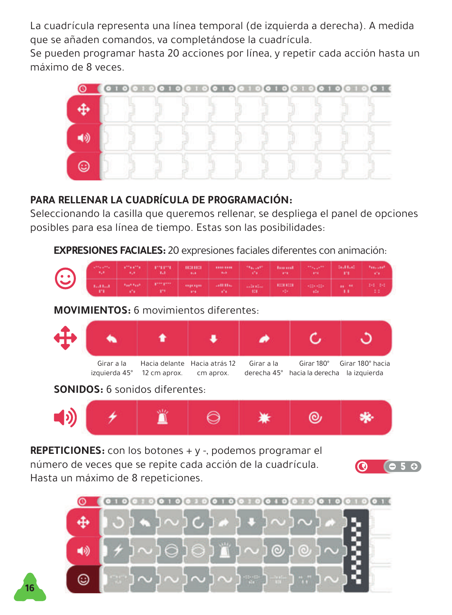La cuadrícula representa una línea temporal (de izquierda a derecha). A medida que se añaden comandos, va completándose la cuadrícula.

Se pueden programar hasta 20 acciones por línea, y repetir cada acción hasta un máximo de 8 veces.



#### **PARA RELLENAR LA CUADRÍCULA DE PROGRAMACIÓN:**

Seleccionando la casilla que queremos rellenar, se despliega el panel de opciones posibles para esa línea de tiempo. Estas son las posibilidades:

**EXPRESIONES FACIALES:** 20 expresiones faciales diferentes con animación:

|  |  | <b>Contract Contract Contract Contract Contract Contract Contract Contract Contract Contract Contract Contract Contract Contract Contract Contract Contract Contract Contract Contract Contract Contract Contract Contract Contr</b> |  |  |  |
|--|--|--------------------------------------------------------------------------------------------------------------------------------------------------------------------------------------------------------------------------------------|--|--|--|

**MOVIMIENTOS:** 6 movimientos diferentes:



**SONIDOS:** 6 sonidos diferentes:

**16**



**REPETICIONES:** con los botones + y -, podemos programar el número de veces que se repite cada acción de la cuadrícula. Hasta un máximo de 8 repeticiones.



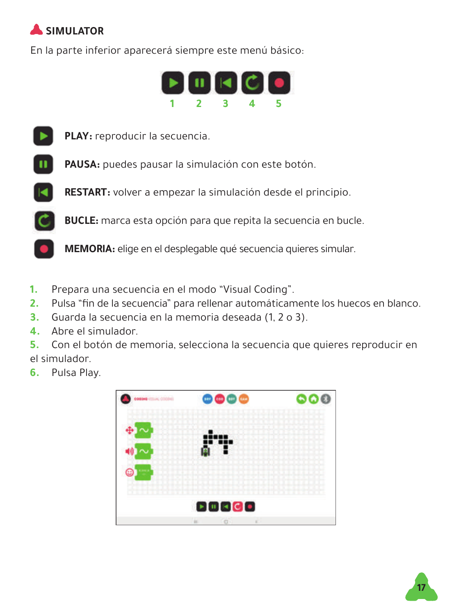## **SIMULATOR**

En la parte inferior aparecerá siempre este menú básico:





**PLAY:** reproducir la secuencia.



**PAUSA:** puedes pausar la simulación con este botón.

**RESTART:** volver a empezar la simulación desde el principio.

**BUCLE:** marca esta opción para que repita la secuencia en bucle.

**MEMORIA:** elige en el desplegable qué secuencia quieres simular.

- **1.** Prepara una secuencia en el modo "Visual Coding".
- **2.** Pulsa "fin de la secuencia" para rellenar automáticamente los huecos en blanco.
- **3.** Guarda la secuencia en la memoria deseada (1, 2 o 3).
- **4.** Abre el simulador.

**5.** Con el botón de memoria, selecciona la secuencia que quieres reproducir en el simulador.

**6.** Pulsa Play.



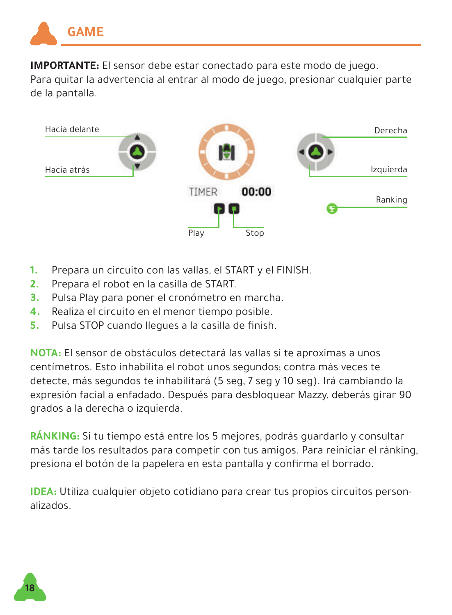

**IMPORTANTE:** El sensor debe estar conectado para este modo de juego. Para quitar la advertencia al entrar al modo de juego, presionar cualquier parte de la pantalla.



- **1.** Prepara un circuito con las vallas, el START y el FINISH.
- **2.** Prepara el robot en la casilla de START.
- **3.** Pulsa Play para poner el cronómetro en marcha.
- **4.** Realiza el circuito en el menor tiempo posible.
- **5.** Pulsa STOP cuando llegues a la casilla de finish.

**NOTA:** El sensor de obstáculos detectará las vallas si te aproximas a unos centímetros. Esto inhabilita el robot unos segundos; contra más veces te detecte, más segundos te inhabilitará (5 seg, 7 seg y 10 seg). Irá cambiando la expresión facial a enfadado. Después para desbloquear Mazzy, deberás girar 90 grados a la derecha o izquierda.

**RÁNKING:** Si tu tiempo está entre los 5 mejores, podrás guardarlo y consultar más tarde los resultados para competir con tus amigos. Para reiniciar el ránking, presiona el botón de la papelera en esta pantalla y confirma el borrado.

**IDEA:** Utiliza cualquier objeto cotidiano para crear tus propios circuitos personalizados.

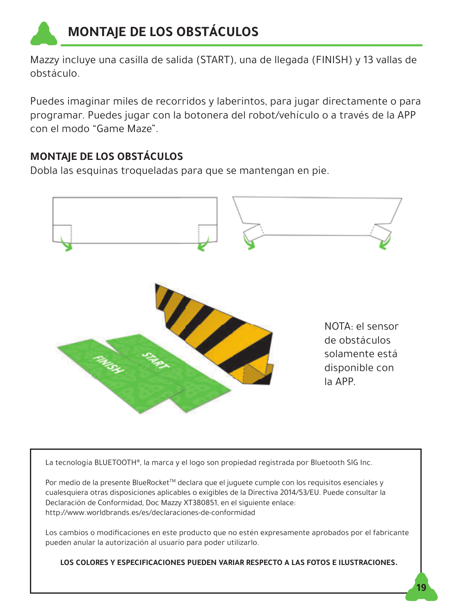

Mazzy incluye una casilla de salida (START), una de llegada (FINISH) y 13 vallas de obstáculo.

Puedes imaginar miles de recorridos y laberintos, para jugar directamente o para programar. Puedes jugar con la botonera del robot/vehículo o a través de la APP con el modo "Game Maze".

### **MONTAJE DE LOS OBSTÁCULOS**

Dobla las esquinas troqueladas para que se mantengan en pie.



La tecnología BLUETOOTH®, la marca y el logo son propiedad registrada por Bluetooth SIG Inc.

Por medio de la presente BlueRocket™ declara que el juguete cumple con los requisitos esenciales y cualesquiera otras disposiciones aplicables o exigibles de la Directiva 2014/53/EU. Puede consultar la Declaración de Conformidad, Doc Mazzy XT380851, en el siguiente enlace: http://www.worldbrands.es/es/declaraciones-de-conformidad

Los cambios o modificaciones en este producto que no estén expresamente aprobados por el fabricante pueden anular la autorización al usuario para poder utilizarlo.

**LOS COLORES Y ESPECIFICACIONES PUEDEN VARIAR RESPECTO A LAS FOTOS E ILUSTRACIONES.**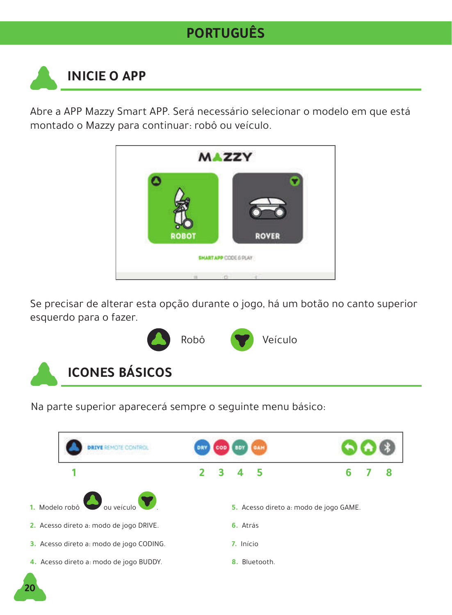## **PORTUGUÊS**

# **INICIE O APP**

**20**

Abre a APP Mazzy Smart APP. Será necessário selecionar o modelo em que está montado o Mazzy para continuar: robô ou veículo.



Se precisar de alterar esta opção durante o jogo, há um botão no canto superior esquerdo para o fazer.



Na parte superior aparecerá sempre o seguinte menu básico:

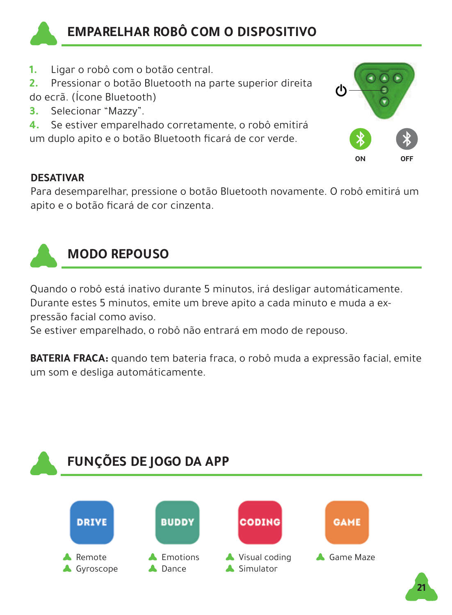

### **EMPARELHAR ROBÔ COM O DISPOSITIVO**

- **1.** Ligar o robô com o botão central.
- **2.** Pressionar o botão Bluetooth na parte superior direita do ecrã. (Ícone Bluetooth)
- **3.** Selecionar "Mazzy".
- **4.** Se estiver emparelhado corretamente, o robô emitirá um duplo apito e o botão Bluetooth ficará de cor verde.



#### **DESATIVAR**

Para desemparelhar, pressione o botão Bluetooth novamente. O robô emitirá um apito e o botão ficará de cor cinzenta.



### **MODO REPOUSO**

Quando o robô está inativo durante 5 minutos, irá desligar automáticamente.

Durante estes 5 minutos, emite um breve apito a cada minuto e muda a expressão facial como aviso.

Se estiver emparelhado, o robô não entrará em modo de repouso.

**BATERIA FRACA:** quando tem bateria fraca, o robô muda a expressão facial, emite um som e desliga automáticamente.

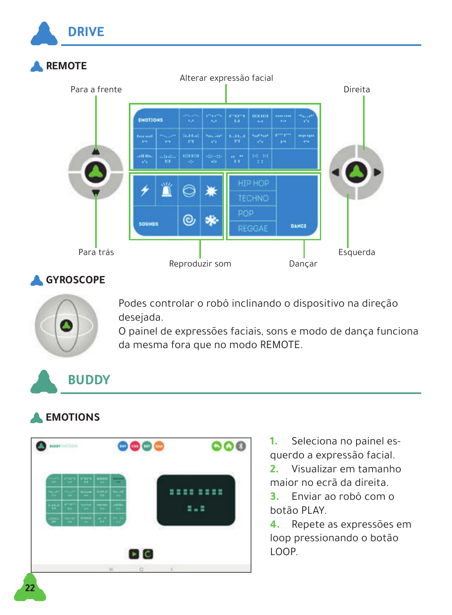

#### **GYROSCOPE**



Podes controlar o robô inclinando o dispositivo na direção desejada.

O painel de expressões faciais, sons e modo de dança funciona da mesma fora que no modo REMOTE.

## **BUDDY**

### **EMOTIONS**



- **1.** Seleciona no painel esquerdo a expressão facial.
- **2.** Visualizar em tamanho maior no ecrã da direita.
- **3.** Enviar ao robô com o botão PLAY.
- **4.** Repete as expressões em loop pressionando o botão LOOP.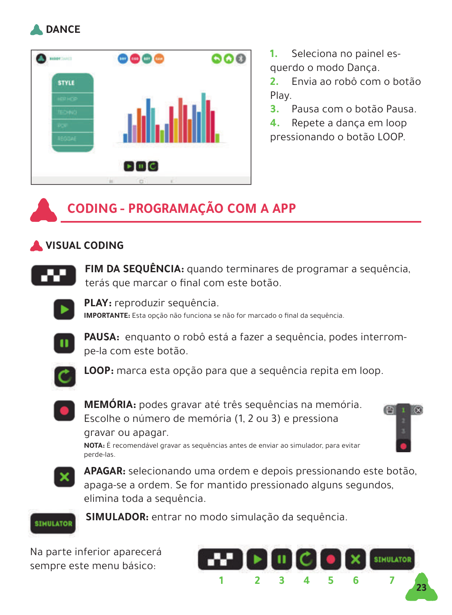



**1.** Seleciona no painel esquerdo o modo Dança.

**2.** Envia ao robô com o botão Play.

**3.** Pausa com o botão Pausa.

**4.** Repete a dança em loop pressionando o botão LOOP.

## **CODING - PROGRAMAÇÃO COM A APP**

### **VISUAL CODING**



**FIM DA SEQUÊNCIA:** quando terminares de programar a sequência, terás que marcar o final com este botão.



**PLAY:** reproduzir sequência. **IMPORTANTE:** Esta opção não funciona se não for marcado o final da sequência.



**PAUSA:** enquanto o robô está a fazer a sequência, podes interrompe-la com este botão.



**LOOP:** marca esta opção para que a sequência repita em loop.



**MEMÓRIA:** podes gravar até três sequências na memória. Escolhe o número de memória (1, 2 ou 3) e pressiona gravar ou apagar. **NOTA:** É recomendável gravar as sequências antes de enviar ao simulador, para evitar

曲



**APAGAR:** selecionando uma ordem e depois pressionando este botão, apaga-se a ordem. Se for mantido pressionado alguns segundos, elimina toda a sequência.



**SIMULADOR:** entrar no modo simulação da sequência.

Na parte inferior aparecerá sempre este menu básico:

perde-las.

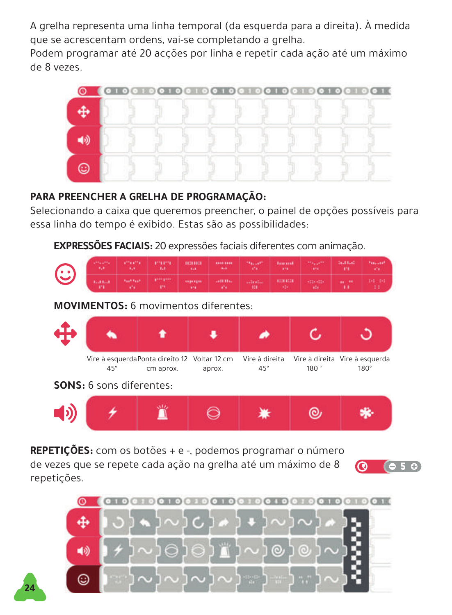A grelha representa uma linha temporal (da esquerda para a direita). À medida que se acrescentam ordens, vai-se completando a grelha.

Podem programar até 20 acções por linha e repetir cada ação até um máximo de 8 vezes.



#### **PARA PREENCHER A GRELHA DE PROGRAMAÇÃO:**

Selecionando a caixa que queremos preencher, o painel de opções possíveis para essa linha do tempo é exibido. Estas são as possibilidades:

**EXPRESSÕES FACIAIS:** 20 expressões faciais diferentes com animação.

|  |  | and the control of the control of the control of the control of the control of the control of the control of the |  |  |  |
|--|--|------------------------------------------------------------------------------------------------------------------|--|--|--|

**MOVIMENTOS:** 6 movimentos diferentes:



**SONS:** 6 sons diferentes:

**24**



**REPETIÇÕES:** com os botões + e -, podemos programar o número

de vezes que se repete cada ação na grelha até um máximo de 8 repetições.



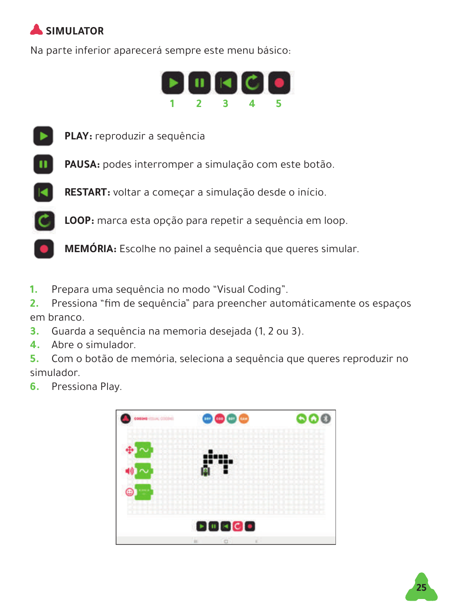## **SIMULATOR**

Na parte inferior aparecerá sempre este menu básico:





**PLAY:** reproduzir a sequência

**PAUSA:** podes interromper a simulação com este botão.





**MEMÓRIA:** Escolhe no painel a sequência que queres simular.

**1.** Prepara uma sequência no modo "Visual Coding".

**2.** Pressiona "fim de sequência" para preencher automáticamente os espaços em branco.

- **3.** Guarda a sequência na memoria desejada (1, 2 ou 3).
- **4.** Abre o simulador.

**5.** Com o botão de memória, seleciona a sequência que queres reproduzir no simulador.

**6.** Pressiona Play.



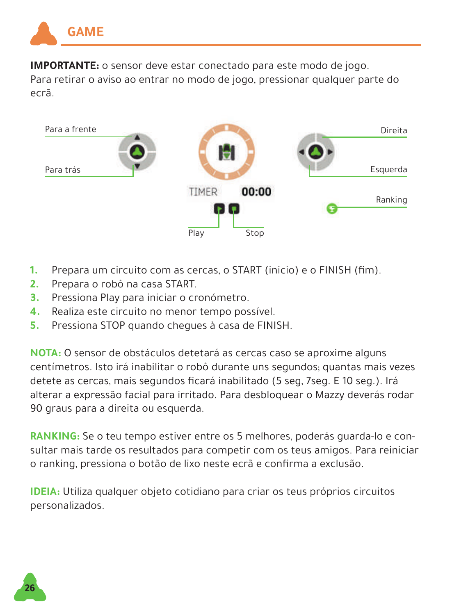

**IMPORTANTE:** o sensor deve estar conectado para este modo de jogo. Para retirar o aviso ao entrar no modo de jogo, pressionar qualquer parte do ecrã.



- **1.** Prepara um circuito com as cercas, o START (inicio) e o FINISH (fim).
- **2.** Prepara o robô na casa START.
- **3.** Pressiona Play para iniciar o cronómetro.
- **4.** Realiza este circuito no menor tempo possível.
- **5.** Pressiona STOP quando chegues à casa de FINISH.

**NOTA:** O sensor de obstáculos detetará as cercas caso se aproxime alguns centímetros. Isto irá inabilitar o robô durante uns segundos; quantas mais vezes detete as cercas, mais segundos ficará inabilitado (5 seg, 7seg. E 10 seg.). Irá alterar a expressão facial para irritado. Para desbloquear o Mazzy deverás rodar 90 graus para a direita ou esquerda.

**RANKING:** Se o teu tempo estiver entre os 5 melhores, poderás guarda-lo e consultar mais tarde os resultados para competir com os teus amigos. Para reiniciar o ranking, pressiona o botão de lixo neste ecrã e confirma a exclusão.

**IDEIA:** Utiliza qualquer objeto cotidiano para criar os teus próprios circuitos personalizados.

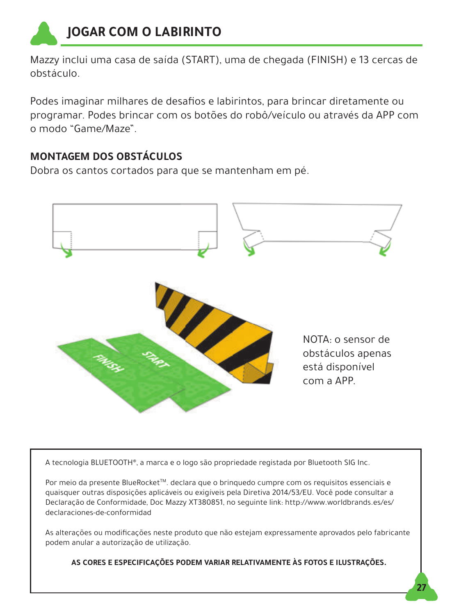

Mazzy inclui uma casa de saída (START), uma de chegada (FINISH) e 13 cercas de obstáculo.

Podes imaginar milhares de desafios e labirintos, para brincar diretamente ou programar. Podes brincar com os botões do robô/veículo ou através da APP com o modo "Game/Maze".

### **MONTAGEM DOS OBSTÁCULOS**

Dobra os cantos cortados para que se mantenham em pé.



A tecnologia BLUETOOTH®, a marca e o logo são propriedade registada por Bluetooth SIG Inc.

Por meio da presente BlueRocket<sup>TM</sup>, declara que o brinquedo cumpre com os requisitos essenciais e quaisquer outras disposições aplicáveis ou exigíveis pela Diretiva 2014/53/EU. Você pode consultar a Declaração de Conformidade, Doc Mazzy XT380851, no seguinte link: http://www.worldbrands.es/es/ declaraciones-de-conformidad

As alterações ou modificações neste produto que não estejam expressamente aprovados pelo fabricante podem anular a autorização de utilização.

**AS CORES E ESPECIFICAÇÕES PODEM VARIAR RELATIVAMENTE ÀS FOTOS E ILUSTRAÇÕES.**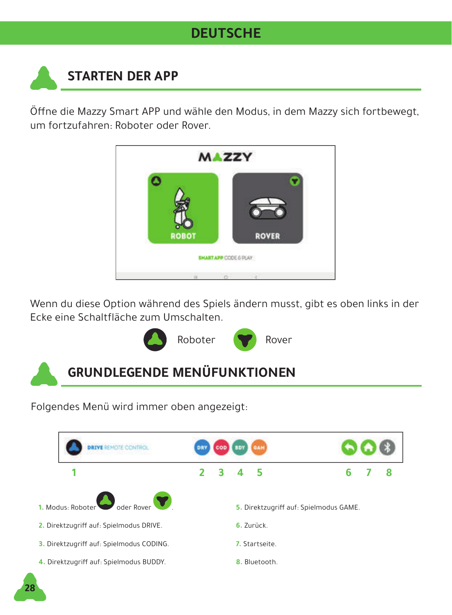### **DEUTSCHE**

## **STARTEN DER APP**

Öffne die Mazzy Smart APP und wähle den Modus, in dem Mazzy sich fortbewegt, um fortzufahren: Roboter oder Rover.



Wenn du diese Option während des Spiels ändern musst, gibt es oben links in der Ecke eine Schaltfläche zum Umschalten.



## **GRUNDLEGENDE MENÜFUNKTIONEN**

Folgendes Menü wird immer oben angezeigt:

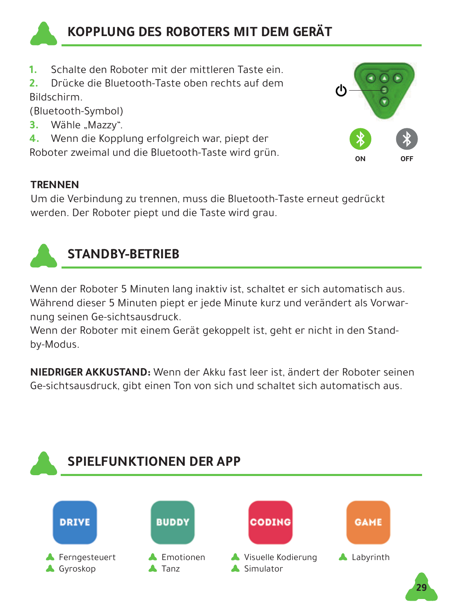

### **KOPPLUNG DES ROBOTERS MIT DEM GERÄT**

- **1.** Schalte den Roboter mit der mittleren Taste ein.<br>**2.** Drücke die Blueteeth Taste eben rechts auf dem
- **2.** Drücke die Bluetooth-Taste oben rechts auf dem Bildschirm.

(Bluetooth-Symbol)

**3.** Wähle "Mazzy".

**4.** Wenn die Kopplung erfolgreich war, piept der Roboter zweimal und die Bluetooth-Taste wird grün.



#### **TRENNEN**

Um die Verbindung zu trennen, muss die Bluetooth-Taste erneut gedrückt werden. Der Roboter piept und die Taste wird grau.



### **STANDBY-BETRIEB**

Wenn der Roboter 5 Minuten lang inaktiv ist, schaltet er sich automatisch aus. Während dieser 5 Minuten piept er jede Minute kurz und verändert als Vorwarnung seinen Ge-sichtsausdruck.

Wenn der Roboter mit einem Gerät gekoppelt ist, geht er nicht in den Standby-Modus.

**NIEDRIGER AKKUSTAND:** Wenn der Akku fast leer ist, ändert der Roboter seinen Ge-sichtsausdruck, gibt einen Ton von sich und schaltet sich automatisch aus.



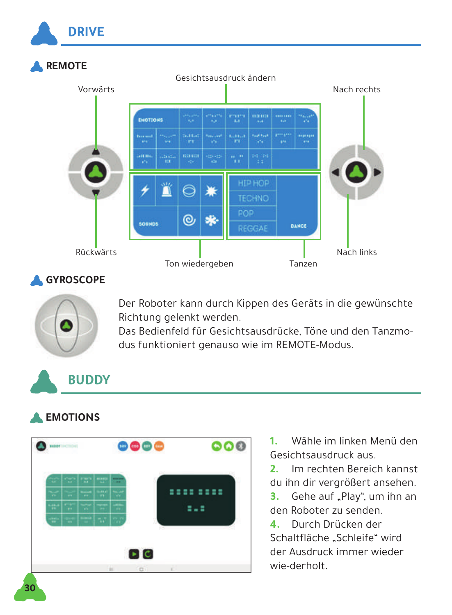

### **GYROSCOPE**



Der Roboter kann durch Kippen des Geräts in die gewünschte Richtung gelenkt werden.

Das Bedienfeld für Gesichtsausdrücke, Töne und den Tanzmodus funktioniert genauso wie im REMOTE-Modus.

## **BUDDY**

### **EMOTIONS**



- **1.** Wähle im linken Menü den Gesichtsausdruck aus.
- **2.** Im rechten Bereich kannst du ihn dir vergrößert ansehen.
- **3.** Gehe auf ..Play", um ihn an den Roboter zu senden.
- **4.** Durch Drücken der Schaltfläche "Schleife" wird der Ausdruck immer wieder wie-derholt.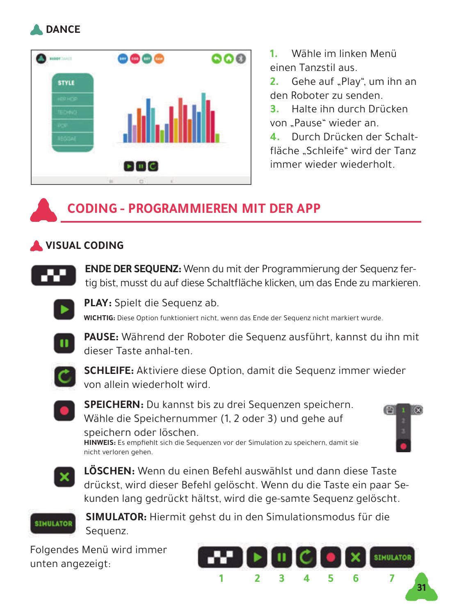



**1.** Wähle im linken Menü einen Tanzstil aus.

**2.** Gehe auf ..Play", um ihn an den Roboter zu senden.

**3.** Halte ihn durch Drücken von Pause" wieder an.

**4.** Durch Drücken der Schaltfläche Schleife" wird der Tanz immer wieder wiederholt.

### **CODING - PROGRAMMIEREN MIT DER APP**

### **VISUAL CODING**



**ENDE DER SEQUENZ:** Wenn du mit der Programmierung der Sequenz fertig bist, musst du auf diese Schaltfläche klicken, um das Ende zu markieren.



**PLAY:** Spielt die Sequenz ab.

**WICHTIG:** Diese Option funktioniert nicht, wenn das Ende der Sequenz nicht markiert wurde.



**PAUSE:** Während der Roboter die Sequenz ausführt, kannst du ihn mit dieser Taste anhal-ten.



**SCHLEIFE:** Aktiviere diese Option, damit die Sequenz immer wieder von allein wiederholt wird.



**SPEICHERN:** Du kannst bis zu drei Sequenzen speichern. Wähle die Speichernummer (1, 2 oder 3) und gehe auf speichern oder löschen.

**HINWEIS:** Es empfiehlt sich die Sequenzen vor der Simulation zu speichern, damit sie nicht verloren gehen.





**LÖSCHEN:** Wenn du einen Befehl auswählst und dann diese Taste drückst, wird dieser Befehl gelöscht. Wenn du die Taste ein paar Sekunden lang gedrückt hältst, wird die ge-samte Sequenz gelöscht.



**SIMULATOR:** Hiermit gehst du in den Simulationsmodus für die Sequenz.

Folgendes Menü wird immer unten angezeigt:

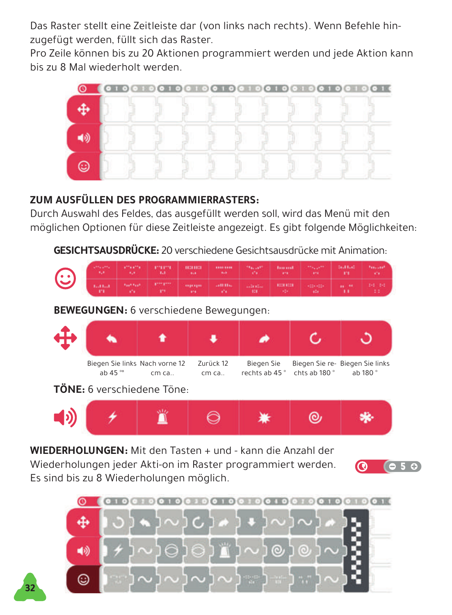Das Raster stellt eine Zeitleiste dar (von links nach rechts). Wenn Befehle hinzugefügt werden, füllt sich das Raster.

Pro Zeile können bis zu 20 Aktionen programmiert werden und jede Aktion kann bis zu 8 Mal wiederholt werden.



#### **ZUM AUSFÜLLEN DES PROGRAMMIERRASTERS:**

Durch Auswahl des Feldes, das ausgefüllt werden soll, wird das Menü mit den möglichen Optionen für diese Zeitleiste angezeigt. Es gibt folgende Möglichkeiten:

**GESICHTSAUSDRÜCKE:** 20 verschiedene Gesichtsausdrücke mit Animation:

| $\odot$ | Concert (1999) (1999) (1999) (1999) (1999) (1999) (1999) (1999) (1999) (1999) (1999) |  |                          | and the state of the same state of the state of the state of the state of the state of the state of the state o |  |  |
|---------|--------------------------------------------------------------------------------------|--|--------------------------|-----------------------------------------------------------------------------------------------------------------|--|--|
|         | Canal Server (1999) Supply and and analyticide space and 1999.                       |  | <b>Contract Contract</b> |                                                                                                                 |  |  |

**BEWEGUNGEN:** 6 verschiedene Bewegungen:



**TÖNE:** 6 verschiedene Töne:

**32**



**WIEDERHOLUNGEN:** Mit den Tasten + und - kann die Anzahl der Wiederholungen jeder Akti-on im Raster programmiert werden. Es sind bis zu 8 Wiederholungen möglich.



 $650$ 

ര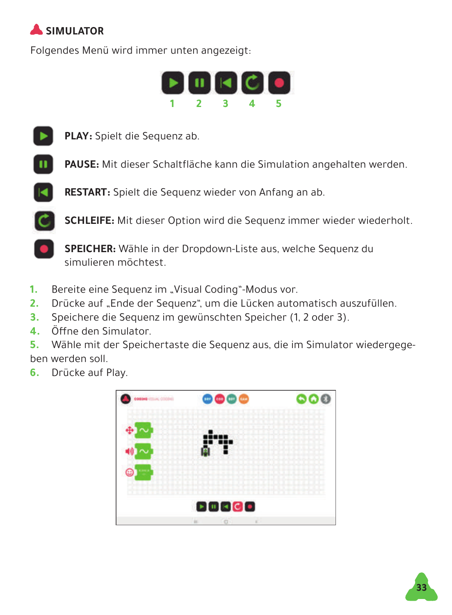## **SIMULATOR**

Folgendes Menü wird immer unten angezeigt:





**PLAY:** Spielt die Sequenz ab.

**PAUSE:** Mit dieser Schaltfläche kann die Simulation angehalten werden.



**SCHLEIFE:** Mit dieser Option wird die Sequenz immer wieder wiederholt.

**SPEICHER:** Wähle in der Dropdown-Liste aus, welche Sequenz du simulieren möchtest.

- **1.** Bereite eine Sequenz im "Visual Coding"-Modus vor.
- **2.** Drücke auf "Ende der Sequenz", um die Lücken automatisch auszufüllen.
- **3.** Speichere die Sequenz im gewünschten Speicher (1, 2 oder 3).
- **4.** Öffne den Simulator.

**5.** Wähle mit der Speichertaste die Sequenz aus, die im Simulator wiedergegeben werden soll.

**6.** Drücke auf Play.



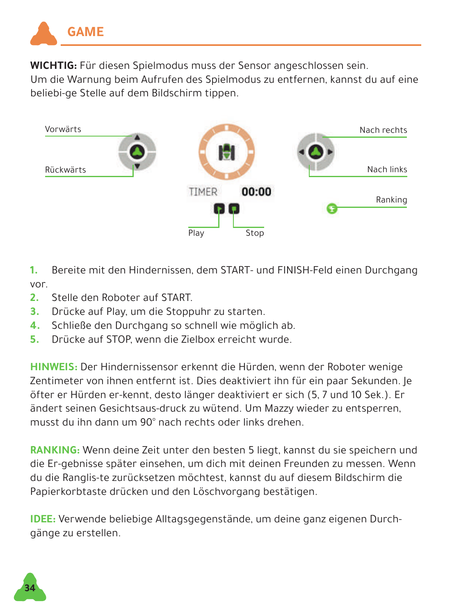

**WICHTIG:** Für diesen Spielmodus muss der Sensor angeschlossen sein.

Um die Warnung beim Aufrufen des Spielmodus zu entfernen, kannst du auf eine beliebi-ge Stelle auf dem Bildschirm tippen.



- **1.** Bereite mit den Hindernissen, dem START- und FINISH-Feld einen Durchgang vor.
- **2.** Stelle den Roboter auf START.
- **3.** Drücke auf Play, um die Stoppuhr zu starten.
- **4.** Schließe den Durchgang so schnell wie möglich ab.
- **5.** Drücke auf STOP, wenn die Zielbox erreicht wurde.

**HINWEIS:** Der Hindernissensor erkennt die Hürden, wenn der Roboter wenige Zentimeter von ihnen entfernt ist. Dies deaktiviert ihn für ein paar Sekunden. Je öfter er Hürden er-kennt, desto länger deaktiviert er sich (5, 7 und 10 Sek.). Er ändert seinen Gesichtsaus-druck zu wütend. Um Mazzy wieder zu entsperren, musst du ihn dann um 90° nach rechts oder links drehen.

**RANKING:** Wenn deine Zeit unter den besten 5 liegt, kannst du sie speichern und die Er-gebnisse später einsehen, um dich mit deinen Freunden zu messen. Wenn du die Ranglis-te zurücksetzen möchtest, kannst du auf diesem Bildschirm die Papierkorbtaste drücken und den Löschvorgang bestätigen.

**IDEE:** Verwende beliebige Alltagsgegenstände, um deine ganz eigenen Durchgänge zu erstellen.

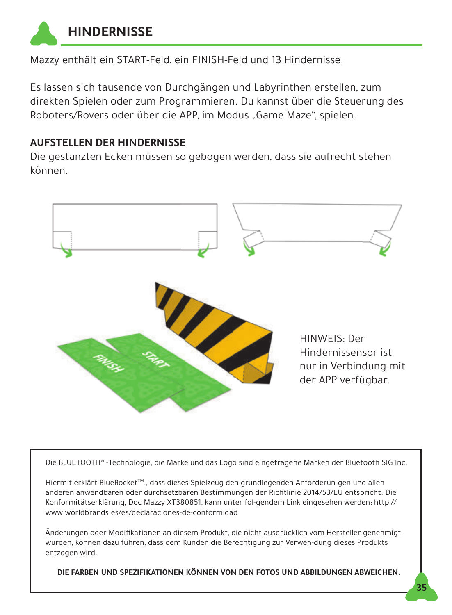

Mazzy enthält ein START-Feld, ein FINISH-Feld und 13 Hindernisse.

Es lassen sich tausende von Durchgängen und Labyrinthen erstellen, zum direkten Spielen oder zum Programmieren. Du kannst über die Steuerung des Roboters/Rovers oder über die APP, im Modus "Game Maze", spielen.

#### **AUFSTELLEN DER HINDERNISSE**

Die gestanzten Ecken müssen so gebogen werden, dass sie aufrecht stehen können.



Die BLUETOOTH® -Technologie, die Marke und das Logo sind eingetragene Marken der Bluetooth SIG Inc.

Hiermit erklärt BlueRocketTM., dass dieses Spielzeug den grundlegenden Anforderun-gen und allen anderen anwendbaren oder durchsetzbaren Bestimmungen der Richtlinie 2014/53/EU entspricht. Die Konformitätserklärung, Doc Mazzy XT380851, kann unter fol-gendem Link eingesehen werden: http:// www.worldbrands.es/es/declaraciones-de-conformidad

Änderungen oder Modifikationen an diesem Produkt, die nicht ausdrücklich vom Hersteller genehmigt wurden, können dazu führen, dass dem Kunden die Berechtigung zur Verwen-dung dieses Produkts entzogen wird.

**DIE FARBEN UND SPEZIFIKATIONEN KÖNNEN VON DEN FOTOS UND ABBILDUNGEN ABWEICHEN.**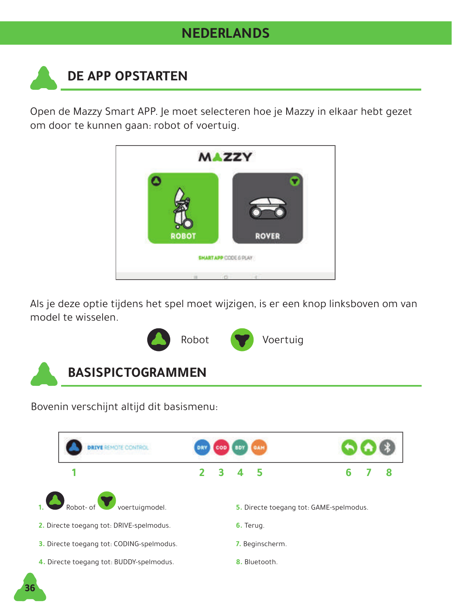### **NEDERLANDS**

# **DE APP OPSTARTEN**

Open de Mazzy Smart APP. Je moet selecteren hoe je Mazzy in elkaar hebt gezet om door te kunnen gaan: robot of voertuig.



Als je deze optie tijdens het spel moet wijzigen, is er een knop linksboven om van model te wisselen.



Bovenin verschijnt altijd dit basismenu:

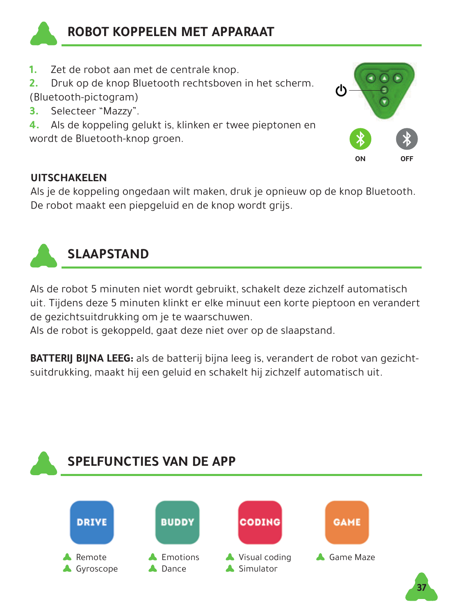

- **1.** Zet de robot aan met de centrale knop.
- **2.** Druk op de knop Bluetooth rechtsboven in het scherm. (Bluetooth-pictogram)
- **3.** Selecteer "Mazzy".

**4.** Als de koppeling gelukt is, klinken er twee pieptonen en wordt de Bluetooth-knop groen.

#### **UITSCHAKELEN**

Als je de koppeling ongedaan wilt maken, druk je opnieuw op de knop Bluetooth. De robot maakt een piepgeluid en de knop wordt grijs.

**ON OFF**



Als de robot 5 minuten niet wordt gebruikt, schakelt deze zichzelf automatisch uit. Tijdens deze 5 minuten klinkt er elke minuut een korte pieptoon en verandert de gezichtsuitdrukking om je te waarschuwen.

Als de robot is gekoppeld, gaat deze niet over op de slaapstand.

**BATTERIJ BIJNA LEEG:** als de batterij bijna leeg is, verandert de robot van gezichtsuitdrukking, maakt hij een geluid en schakelt hij zichzelf automatisch uit.

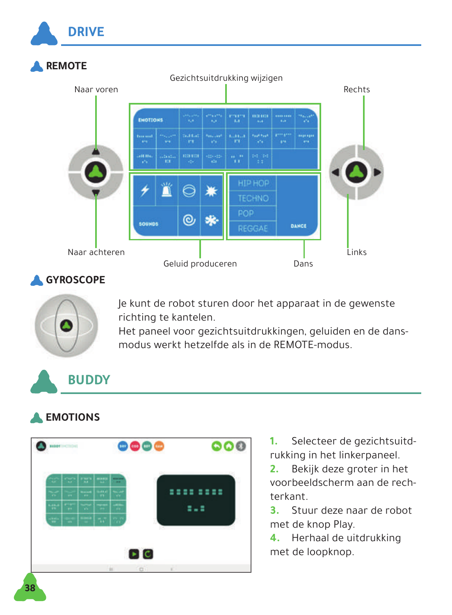

### **GYROSCOPE**



Je kunt de robot sturen door het apparaat in de gewenste richting te kantelen.

Het paneel voor gezichtsuitdrukkingen, geluiden en de dansmodus werkt hetzelfde als in de REMOTE-modus.

## **BUDDY**

### **EMOTIONS**



- **1.** Selecteer de gezichtsuitdrukking in het linkerpaneel.
- **2.** Bekijk deze groter in het voorbeeldscherm aan de rechterkant.
- **3.** Stuur deze naar de robot met de knop Play.
- **4.** Herhaal de uitdrukking met de loopknop.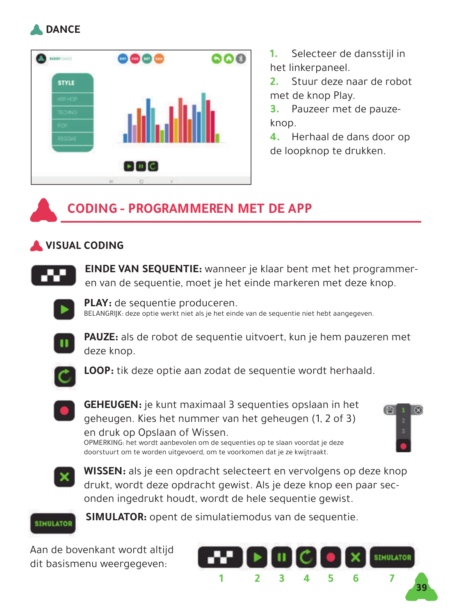



**1.** Selecteer de dansstijl in het linkerpaneel.

**2.** Stuur deze naar de robot met de knop Play.

**3.** Pauzeer met de pauzeknop.

**4.** Herhaal de dans door op de loopknop te drukken.

### **CODING - PROGRAMMEREN MET DE APP**

#### **VISUAL CODING**



**EINDE VAN SEQUENTIE:** wanneer je klaar bent met het programmeren van de sequentie, moet je het einde markeren met deze knop.



**PLAY:** de sequentie produceren.<br>BELANGRIJK: deze optie werkt niet als je het einde van de sequentie niet hebt aangegeven.



**PAUZE:** als de robot de sequentie uitvoert, kun je hem pauzeren met deze knop.



**LOOP:** tik deze optie aan zodat de sequentie wordt herhaald.



**GEHEUGEN:** je kunt maximaal 3 sequenties opslaan in het geheugen. Kies het nummer van het geheugen (1, 2 of 3) en druk op Opslaan of Wissen.

OPMERKING: het wordt aanbevolen om de sequenties op te slaan voordat je deze doorstuurt om te worden uitgevoerd, om te voorkomen dat je ze kwijtraakt.





**WISSEN:** als je een opdracht selecteert en vervolgens op deze knop drukt, wordt deze opdracht gewist. Als je deze knop een paar seconden ingedrukt houdt, wordt de hele sequentie gewist.



**SIMULATOR:** opent de simulatiemodus van de sequentie.

Aan de bovenkant wordt altijd dit basismenu weergegeven:

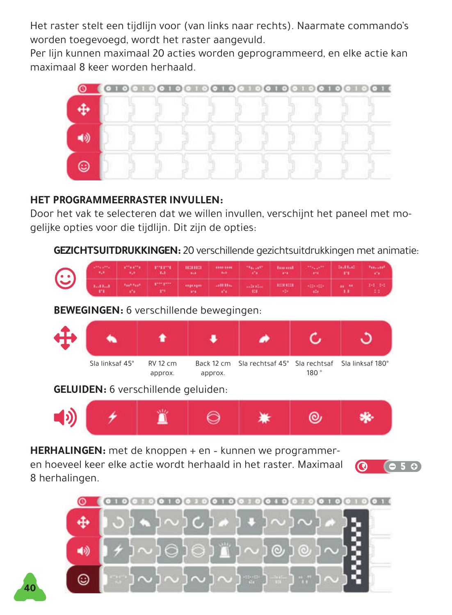Het raster stelt een tijdlijn voor (van links naar rechts). Naarmate commando's worden toegevoegd, wordt het raster aangevuld.

Per lijn kunnen maximaal 20 acties worden geprogrammeerd, en elke actie kan maximaal 8 keer worden herhaald.



#### **HET PROGRAMMEERRASTER INVULLEN:**

**40**

Door het vak te selecteren dat we willen invullen, verschijnt het paneel met mogelijke opties voor die tijdlijn. Dit zijn de opties:

**GEZICHTSUITDRUKKINGEN:** 20 verschillende gezichtsuitdrukkingen met animatie:



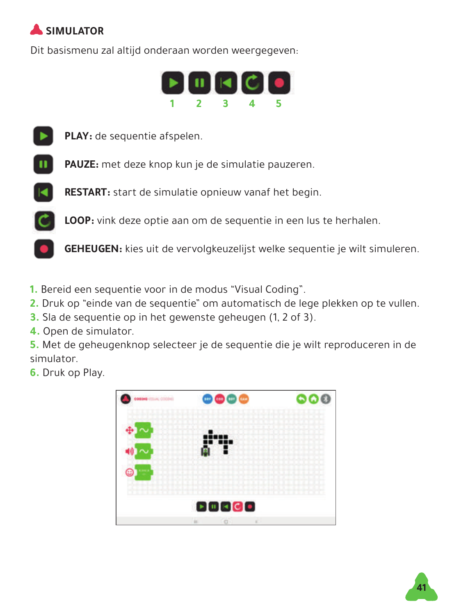## **SIMULATOR**

Dit basismenu zal altijd onderaan worden weergegeven:





**PLAY:** de sequentie afspelen.



**PAUZE:** met deze knop kun je de simulatie pauzeren.



**LOOP:** vink deze optie aan om de sequentie in een lus te herhalen.

**GEHEUGEN:** kies uit de vervolgkeuzelijst welke sequentie je wilt simuleren.

- **1.** Bereid een sequentie voor in de modus "Visual Coding".
- **2.** Druk op "einde van de sequentie" om automatisch de lege plekken op te vullen.
- **3.** Sla de sequentie op in het gewenste geheugen (1, 2 of 3).
- **4.** Open de simulator.

**5.** Met de geheugenknop selecteer je de sequentie die je wilt reproduceren in de simulator.

**6.** Druk op Play.



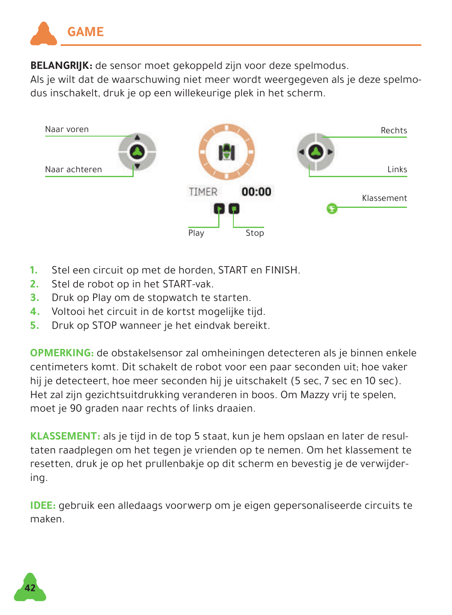

**BELANGRIJK:** de sensor moet gekoppeld zijn voor deze spelmodus.

Als je wilt dat de waarschuwing niet meer wordt weergegeven als je deze spelmodus inschakelt, druk je op een willekeurige plek in het scherm.



- **1.** Stel een circuit op met de horden, START en FINISH.
- **2.** Stel de robot op in het START-vak.
- **3.** Druk op Play om de stopwatch te starten.
- **4.** Voltooi het circuit in de kortst mogelijke tijd.
- **5.** Druk op STOP wanneer je het eindvak bereikt.

**OPMERKING:** de obstakelsensor zal omheiningen detecteren als je binnen enkele centimeters komt. Dit schakelt de robot voor een paar seconden uit; hoe vaker hij je detecteert, hoe meer seconden hij je uitschakelt (5 sec, 7 sec en 10 sec). Het zal zijn gezichtsuitdrukking veranderen in boos. Om Mazzy vrij te spelen, moet je 90 graden naar rechts of links draaien.

**KLASSEMENT:** als je tijd in de top 5 staat, kun je hem opslaan en later de resultaten raadplegen om het tegen je vrienden op te nemen. Om het klassement te resetten, druk je op het prullenbakje op dit scherm en bevestig je de verwijdering.

**IDEE:** gebruik een alledaags voorwerp om je eigen gepersonaliseerde circuits te maken.

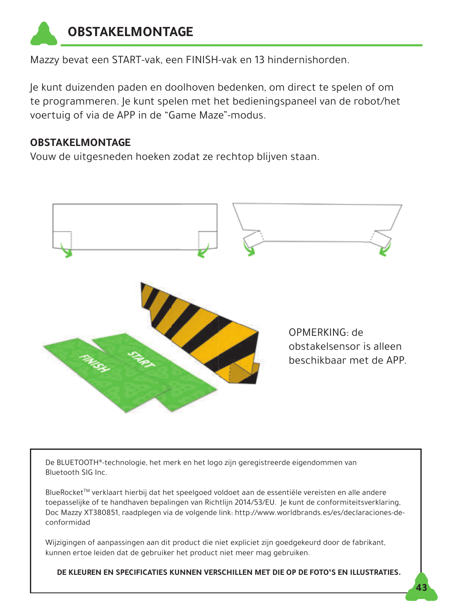

Mazzy bevat een START-vak, een FINISH-vak en 13 hindernishorden.

Je kunt duizenden paden en doolhoven bedenken, om direct te spelen of om te programmeren. Je kunt spelen met het bedieningspaneel van de robot/het voertuig of via de APP in de "Game Maze"-modus.

#### **OBSTAKELMONTAGE**

Vouw de uitgesneden hoeken zodat ze rechtop blijven staan.



De BLUETOOTH®-technologie, het merk en het logo zijn geregistreerde eigendommen van Bluetooth SIG Inc.

BlueRocketTM verklaart hierbij dat het speelgoed voldoet aan de essentiële vereisten en alle andere toepasselijke of te handhaven bepalingen van Richtlijn 2014/53/EU. Je kunt de conformiteitsverklaring, Doc Mazzy XT380851, raadplegen via de volgende link: http://www.worldbrands.es/es/declaraciones-deconformidad

Wijzigingen of aanpassingen aan dit product die niet expliciet zijn goedgekeurd door de fabrikant, kunnen ertoe leiden dat de gebruiker het product niet meer mag gebruiken.

**DE KLEUREN EN SPECIFICATIES KUNNEN VERSCHILLEN MET DIE OP DE FOTO'S EN ILLUSTRATIES.**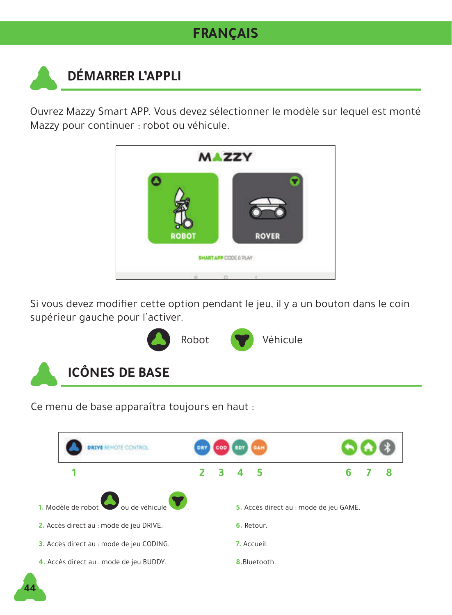### **FRANÇAIS**

# **DÉMARRER L'APPLI**

Ouvrez Mazzy Smart APP. Vous devez sélectionner le modèle sur lequel est monté Mazzy pour continuer : robot ou véhicule.



Si vous devez modifier cette option pendant le jeu, il y a un bouton dans le coin supérieur gauche pour l'activer.



Ce menu de base apparaîtra toujours en haut :

**44**

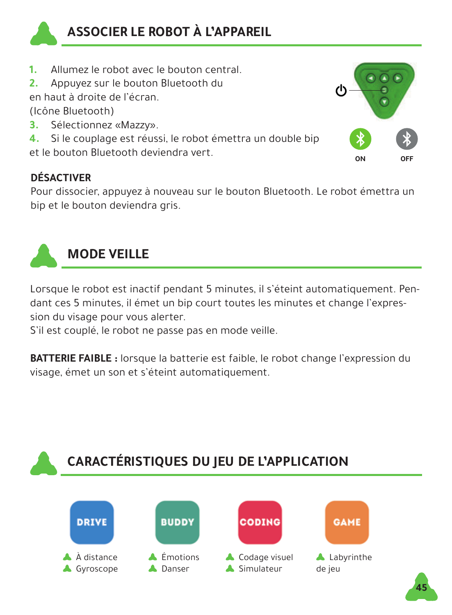

- **1.** Allumez le robot avec le bouton central.
- **2.** Appuyez sur le bouton Bluetooth du

en haut à droite de l'écran.

(Icône Bluetooth)

- **3.** Sélectionnez «Mazzy».
- **4.** Si le couplage est réussi, le robot émettra un double bip

et le bouton Bluetooth deviendra vert.

### **DÉSACTIVER**

Pour dissocier, appuyez à nouveau sur le bouton Bluetooth. Le robot émettra un bip et le bouton deviendra gris.

**ON OFF**



### **MODE VEILLE**

Lorsque le robot est inactif pendant 5 minutes, il s'éteint automatiquement. Pendant ces 5 minutes, il émet un bip court toutes les minutes et change l'expression du visage pour vous alerter.

S'il est couplé, le robot ne passe pas en mode veille.

**BATTERIE FAIBLE :** lorsque la batterie est faible, le robot change l'expression du visage, émet un son et s'éteint automatiquement.

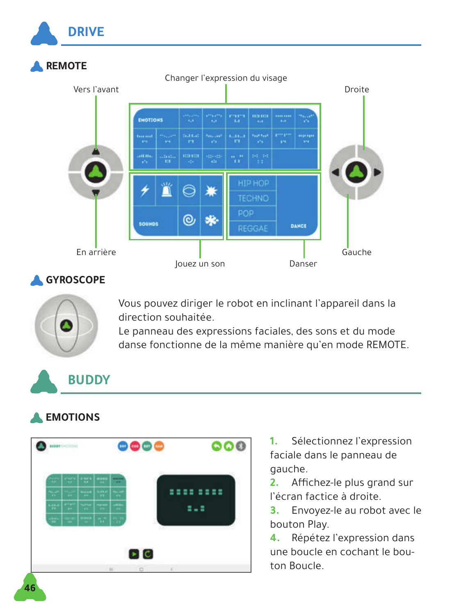

### **GYROSCOPE**



Vous pouvez diriger le robot en inclinant l'appareil dans la direction souhaitée.

Le panneau des expressions faciales, des sons et du mode danse fonctionne de la même manière qu'en mode REMOTE.

## **BUDDY**

### **EMOTIONS**



**1.** Sélectionnez l'expression faciale dans le panneau de gauche.

**2.** Affichez-le plus grand sur l'écran factice à droite.

**3.** Envoyez-le au robot avec le bouton Play.

**4.** Répétez l'expression dans une boucle en cochant le bouton Boucle.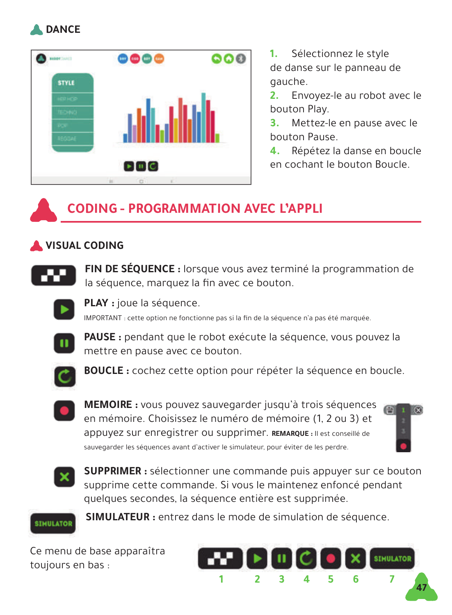



**1.** Sélectionnez le style de danse sur le panneau de gauche.

**2.** Envoyez-le au robot avec le bouton Play.

**3.** Mettez-le en pause avec le bouton Pause.

**4.** Répétez la danse en boucle en cochant le bouton Boucle.

### **CODING - PROGRAMMATION AVEC L'APPLI**

#### **VISUAL CODING**



**FIN DE SÉQUENCE :** lorsque vous avez terminé la programmation de la séquence, marquez la fin avec ce bouton.



**PLAY :** joue la séquence.

IMPORTANT : cette option ne fonctionne pas si la fin de la séquence n'a pas été marquée.



PAUSE : pendant que le robot exécute la séquence, vous pouvez la mettre en pause avec ce bouton.



**BOUCLE :** cochez cette option pour répéter la séquence en boucle.



**MEMOIRE :** vous pouvez sauvegarder jusqu'à trois séquences en mémoire. Choisissez le numéro de mémoire (1, 2 ou 3) et appuyez sur enregistrer ou supprimer. **REMARQUE :** Il est conseillé de sauvegarder les séquences avant d'activer le simulateur, pour éviter de les perdre.





**SUPPRIMER :** sélectionner une commande puis appuyer sur ce bouton supprime cette commande. Si vous le maintenez enfoncé pendant quelques secondes, la séquence entière est supprimée.



**SIMULATEUR :** entrez dans le mode de simulation de séquence.

Ce menu de base apparaîtra toujours en bas :

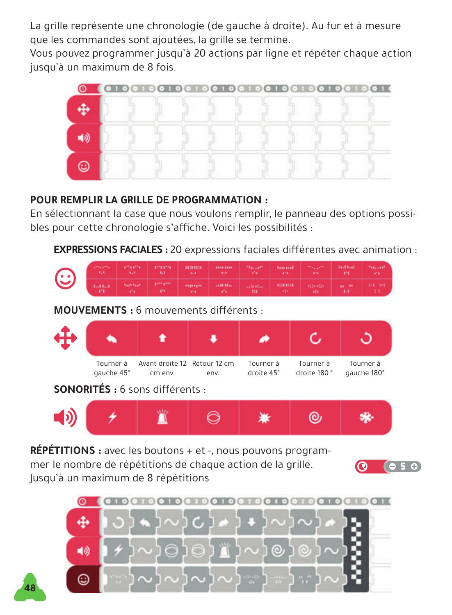La grille représente une chronologie (de gauche à droite). Au fur et à mesure que les commandes sont ajoutées, la grille se termine.

Vous pouvez programmer jusqu'à 20 actions par ligne et répéter chaque action jusqu'à un maximum de 8 fois.



#### **POUR REMPLIR LA GRILLE DE PROGRAMMATION :**

En sélectionnant la case que nous voulons remplir, le panneau des options possibles pour cette chronologie s'affiche. Voici les possibilités :

**EXPRESSIONS FACIALES :** 20 expressions faciales différentes avec animation :

| $\mathbb{C}^*$                                               | <b>Christma</b><br>328  | afficiality<br>328     | 17711771<br><b>Tale</b> | 10281023<br><b>BAR</b>                                          | <b>ATAL 2004</b><br><b>Balk</b> | <b>TRACKET</b><br><b>STA</b> | <b>Burnet</b><br><b>ATA</b>           | <b>Africans</b><br><b>APR</b> | <b>Southand</b><br>m         | <b>Freezer</b><br>V.  |  |
|--------------------------------------------------------------|-------------------------|------------------------|-------------------------|-----------------------------------------------------------------|---------------------------------|------------------------------|---------------------------------------|-------------------------------|------------------------------|-----------------------|--|
|                                                              | 101101<br>m             | <b>Fast Fast</b><br>V. | plan pres<br>m          | 1934 7211<br>379                                                | anti-risa<br>w                  | <b>Literatur</b><br>323      | 10081008<br>$\mathcal{M}(\mathbb{R})$ | $-124 - 024$<br>sta.          | <b>HE 94</b><br>$\mathbf{H}$ | $2 - 2 - 2 - 2$<br>11 |  |
| <b>MOUVEMENTS</b> : 6 mouvements différents :                |                         |                        |                         |                                                                 |                                 |                              |                                       |                               |                              |                       |  |
|                                                              |                         |                        |                         |                                                                 |                                 | ۰                            |                                       |                               |                              |                       |  |
|                                                              | Tourner à<br>qauche 45° |                        | cm env.                 | Avant droite 12 Retour 12 cm<br>Tourner à<br>droite 45°<br>env. |                                 |                              | Tourner à<br>droite 180°              |                               | Tourner à<br>qauche 180°     |                       |  |
| <b>SONORITÉS</b> : 6 sons différents :                       |                         |                        |                         |                                                                 |                                 |                              |                                       |                               |                              |                       |  |
| [b]                                                          |                         |                        |                         |                                                                 |                                 |                              |                                       | ⊚                             |                              |                       |  |
| RÉPÉTITIONS : avec les boutons + et -, nous pouvons program- |                         |                        |                         |                                                                 |                                 |                              |                                       |                               |                              |                       |  |

mer le nombre de répétitions de chaque action de la grille. Jusqu'à un maximum de 8 répétitions

**48**



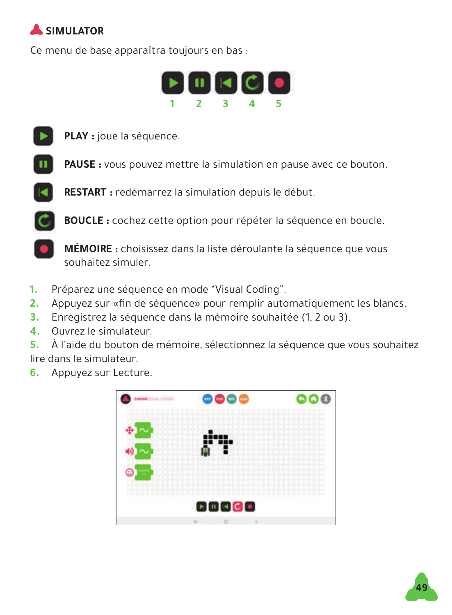## **SIMULATOR**

Ce menu de base apparaîtra toujours en bas :





**PLAY :** joue la séquence.

**PAUSE :** vous pouvez mettre la simulation en pause avec ce bouton.

**RESTART :** redémarrez la simulation depuis le début.

**BOUCLE :** cochez cette option pour répéter la séquence en boucle.

**MÉMOIRE :** choisissez dans la liste déroulante la séquence que vous souhaitez simuler.

- **1.** Préparez une séquence en mode "Visual Coding".
- **2.** Appuyez sur «fin de séquence» pour remplir automatiquement les blancs.
- **3.** Enregistrez la séquence dans la mémoire souhaitée (1, 2 ou 3).
- **4.** Ouvrez le simulateur.

**5.** À l'aide du bouton de mémoire, sélectionnez la séquence que vous souhaitez lire dans le simulateur.

**6.** Appuyez sur Lecture.



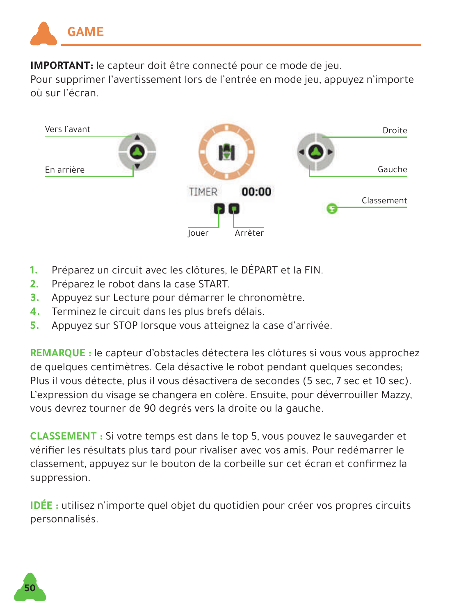

**IMPORTANT:** le capteur doit être connecté pour ce mode de jeu.

Pour supprimer l'avertissement lors de l'entrée en mode jeu, appuyez n'importe où sur l'écran.



- **1.** Préparez un circuit avec les clôtures, le DÉPART et la FIN.
- **2.** Préparez le robot dans la case START.
- **3.** Appuyez sur Lecture pour démarrer le chronomètre.
- **4.** Terminez le circuit dans les plus brefs délais.
- **5.** Appuyez sur STOP lorsque vous atteignez la case d'arrivée.

**REMARQUE :** le capteur d'obstacles détectera les clôtures si vous vous approchez de quelques centimètres. Cela désactive le robot pendant quelques secondes; Plus il vous détecte, plus il vous désactivera de secondes (5 sec, 7 sec et 10 sec). L'expression du visage se changera en colère. Ensuite, pour déverrouiller Mazzy, vous devrez tourner de 90 degrés vers la droite ou la gauche.

**CLASSEMENT :** Si votre temps est dans le top 5, vous pouvez le sauvegarder et vérifier les résultats plus tard pour rivaliser avec vos amis. Pour redémarrer le classement, appuyez sur le bouton de la corbeille sur cet écran et confirmez la suppression.

**IDÉE :** utilisez n'importe quel objet du quotidien pour créer vos propres circuits personnalisés.

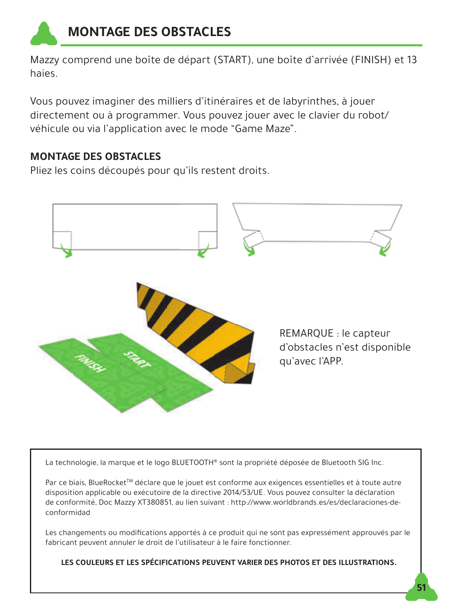

Mazzy comprend une boîte de départ (START), une boîte d'arrivée (FINISH) et 13 haies.

Vous pouvez imaginer des milliers d'itinéraires et de labyrinthes, à jouer directement ou à programmer. Vous pouvez jouer avec le clavier du robot/ véhicule ou via l'application avec le mode "Game Maze".

#### **MONTAGE DES OBSTACLES**

Pliez les coins découpés pour qu'ils restent droits.



La technologie, la marque et le logo BLUETOOTH® sont la propriété déposée de Bluetooth SIG Inc.

Par ce biais, BlueRocket<sup>™</sup> déclare que le jouet est conforme aux exigences essentielles et à toute autre disposition applicable ou exécutoire de la directive 2014/53/UE. Vous pouvez consulter la déclaration de conformité, Doc Mazzy XT380851, au lien suivant : http://www.worldbrands.es/es/declaraciones-deconformidad

Les changements ou modifications apportés à ce produit qui ne sont pas expressément approuvés par le fabricant peuvent annuler le droit de l'utilisateur à le faire fonctionner.

**LES COULEURS ET LES SPÉCIFICATIONS PEUVENT VARIER DES PHOTOS ET DES ILLUSTRATIONS.**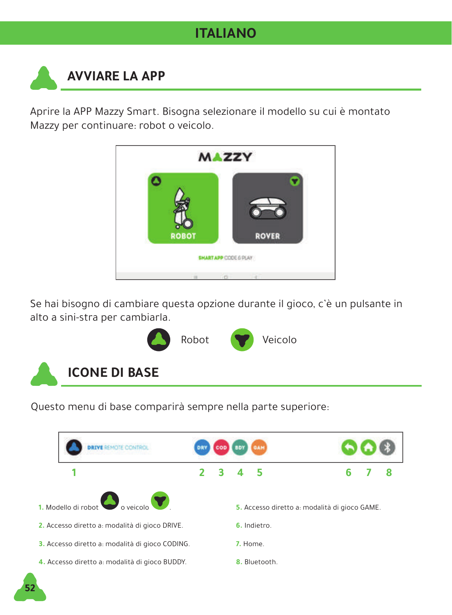### **ITALIANO**

## **AVVIARE LA APP**

Aprire la APP Mazzy Smart. Bisogna selezionare il modello su cui è montato Mazzy per continuare: robot o veicolo.



Se hai bisogno di cambiare questa opzione durante il gioco, c'è un pulsante in alto a sini-stra per cambiarla.



Questo menu di base comparirà sempre nella parte superiore:

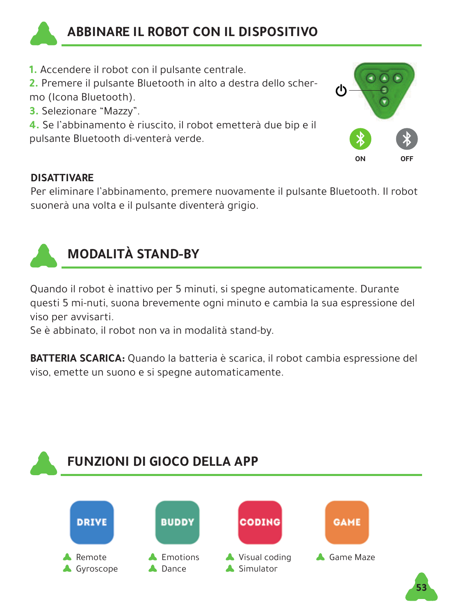

### **ABBINARE IL ROBOT CON IL DISPOSITIVO**

**1.** Accendere il robot con il pulsante centrale.

**2.** Premere il pulsante Bluetooth in alto a destra dello schermo (Icona Bluetooth).

**3.** Selezionare "Mazzy".

**4.** Se l'abbinamento è riuscito, il robot emetterà due bip e il pulsante Bluetooth di-venterà verde.



#### **DISATTIVARE**

Per eliminare l'abbinamento, premere nuovamente il pulsante Bluetooth. Il robot suonerà una volta e il pulsante diventerà grigio.



## **MODALITÀ STAND-BY**

Quando il robot è inattivo per 5 minuti, si spegne automaticamente. Durante questi 5 mi-nuti, suona brevemente ogni minuto e cambia la sua espressione del viso per avvisarti.

Se è abbinato, il robot non va in modalità stand-by.

**BATTERIA SCARICA:** Quando la batteria è scarica, il robot cambia espressione del viso, emette un suono e si spegne automaticamente.

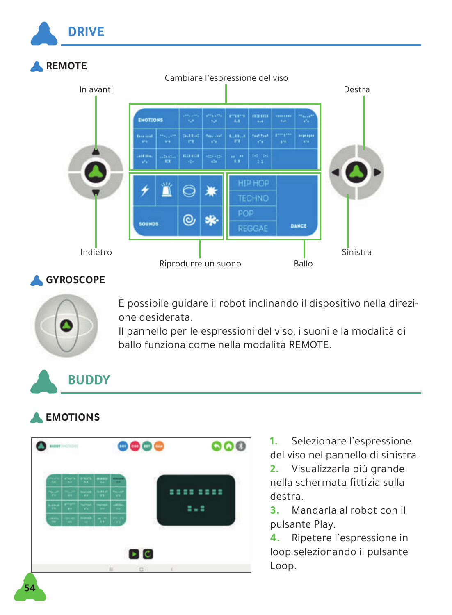

#### **GYROSCOPE**



È possibile guidare il robot inclinando il dispositivo nella direzione desiderata.

Il pannello per le espressioni del viso, i suoni e la modalità di ballo funziona come nella modalità REMOTE.

### **BUDDY**

### **EMOTIONS**



**1.** Selezionare l'espressione del viso nel pannello di sinistra.

**2.** Visualizzarla più grande nella schermata fittizia sulla destra.

**3.** Mandarla al robot con il pulsante Play.

**4.** Ripetere l'espressione in loop selezionando il pulsante Loop.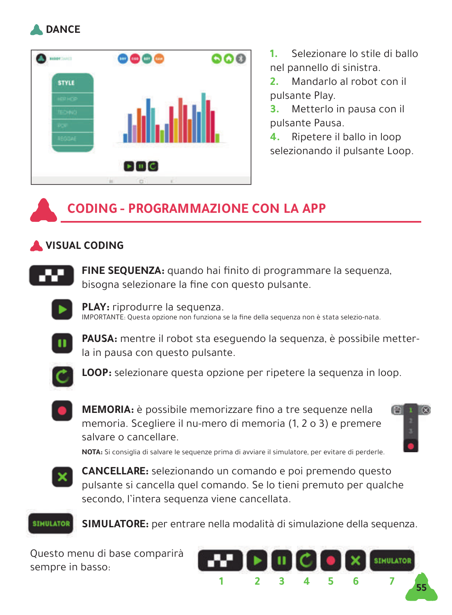



**1.** Selezionare lo stile di ballo nel pannello di sinistra.

**2.** Mandarlo al robot con il pulsante Play.

**3.** Metterlo in pausa con il pulsante Pausa.

**4.** Ripetere il ballo in loop selezionando il pulsante Loop.

### **CODING - PROGRAMMAZIONE CON LA APP**

#### **VISUAL CODING**



FINE SEQUENZA: quando hai finito di programmare la sequenza, bisogna selezionare la fine con questo pulsante.



**PLAY:** riprodurre la sequenza. IMPORTANTE: Questa opzione non funziona se la fine della sequenza non è stata selezio-nata.



**PAUSA:** mentre il robot sta eseguendo la sequenza, è possibile metterla in pausa con questo pulsante.



**LOOP:** selezionare questa opzione per ripetere la sequenza in loop.



**MEMORIA:** è possibile memorizzare fino a tre sequenze nella memoria. Scegliere il nu-mero di memoria (1, 2 o 3) e premere salvare o cancellare.



**NOTA:** Si consiglia di salvare le sequenze prima di avviare il simulatore, per evitare di perderle.



**CANCELLARE:** selezionando un comando e poi premendo questo pulsante si cancella quel comando. Se lo tieni premuto per qualche secondo, l'intera sequenza viene cancellata.



**SIMULATORE:** per entrare nella modalità di simulazione della sequenza.

Questo menu di base comparirà sempre in basso:

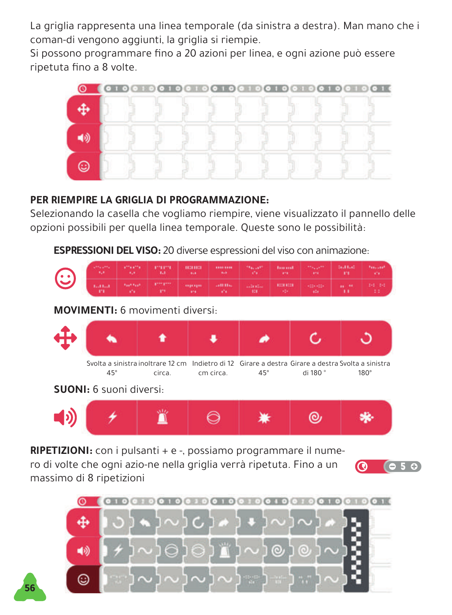La griglia rappresenta una linea temporale (da sinistra a destra). Man mano che i coman-di vengono aggiunti, la griglia si riempie.

Si possono programmare fino a 20 azioni per linea, e ogni azione può essere ripetuta fino a 8 volte.



#### **PER RIEMPIRE LA GRIGLIA DI PROGRAMMAZIONE:**

Selezionando la casella che vogliamo riempire, viene visualizzato il pannello delle opzioni possibili per quella linea temporale. Queste sono le possibilità:

**ESPRESSIONI DEL VISO:** 20 diverse espressioni del viso con animazione:



**RIPETIZIONI:** con i pulsanti + e -, possiamo programmare il nume-

ro di volte che ogni azio-ne nella griglia verrà ripetuta. Fino a un massimo di 8 ripetizioni

**56**



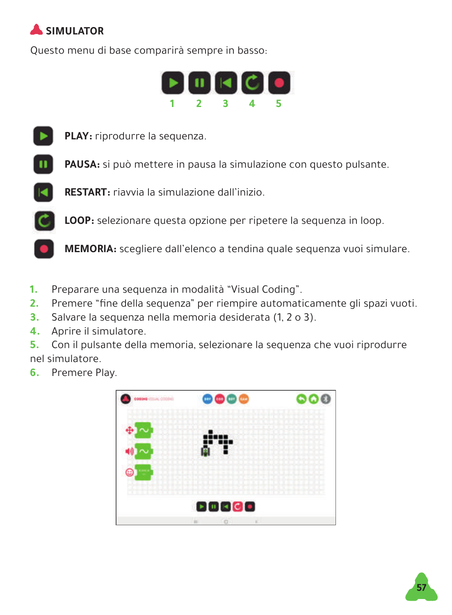

Questo menu di base comparirà sempre in basso:





**PLAY:** riprodurre la sequenza.

**PAUSA:** si può mettere in pausa la simulazione con questo pulsante.





**LOOP:** selezionare questa opzione per ripetere la sequenza in loop.

**MEMORIA:** scegliere dall'elenco a tendina quale sequenza vuoi simulare.

- **1.** Preparare una sequenza in modalità "Visual Coding".
- **2.** Premere "fine della sequenza" per riempire automaticamente gli spazi vuoti.
- **3.** Salvare la sequenza nella memoria desiderata (1, 2 o 3).
- **4.** Aprire il simulatore.

**5.** Con il pulsante della memoria, selezionare la sequenza che vuoi riprodurre nel simulatore.

**6.** Premere Play.



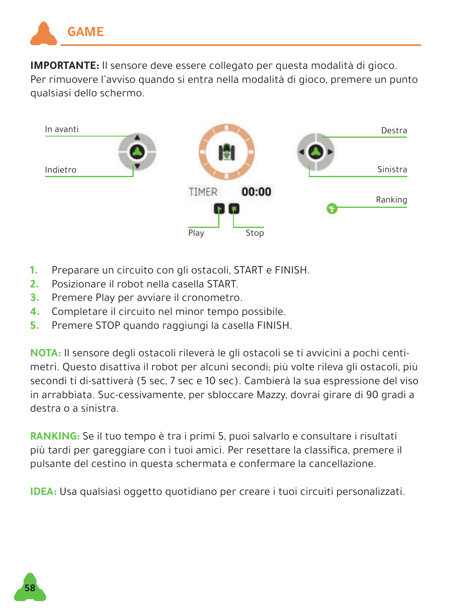

**IMPORTANTE:** Il sensore deve essere collegato per questa modalità di gioco. Per rimuovere l'avviso quando si entra nella modalità di gioco, premere un punto qualsiasi dello schermo.



- **1.** Preparare un circuito con gli ostacoli, START e FINISH.
- **2.** Posizionare il robot nella casella START.
- **3.** Premere Play per avviare il cronometro.
- **4.** Completare il circuito nel minor tempo possibile.
- **5.** Premere STOP quando raggiungi la casella FINISH.

**NOTA:** Il sensore degli ostacoli rileverà le gli ostacoli se ti avvicini a pochi centimetri. Questo disattiva il robot per alcuni secondi; più volte rileva gli ostacoli, più secondi ti di-sattiverà (5 sec, 7 sec e 10 sec). Cambierà la sua espressione del viso in arrabbiata. Suc-cessivamente, per sbloccare Mazzy, dovrai girare di 90 gradi a destra o a sinistra.

**RANKING:** Se il tuo tempo è tra i primi 5, puoi salvarlo e consultare i risultati più tardi per gareggiare con i tuoi amici. Per resettare la classifica, premere il pulsante del cestino in questa schermata e confermare la cancellazione.

**IDEA:** Usa qualsiasi oggetto quotidiano per creare i tuoi circuiti personalizzati.

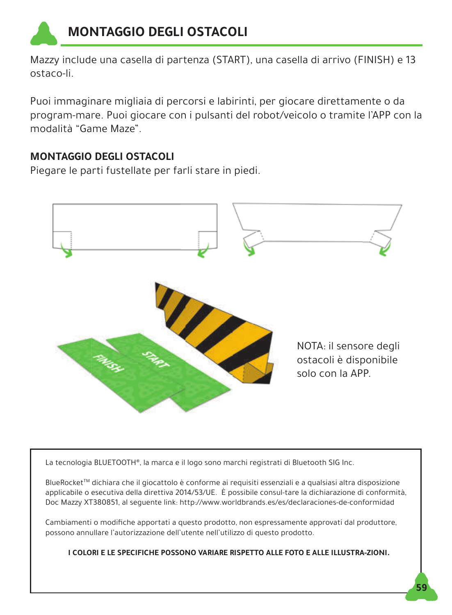

Mazzy include una casella di partenza (START), una casella di arrivo (FINISH) e 13 ostaco-li.

Puoi immaginare migliaia di percorsi e labirinti, per giocare direttamente o da program-mare. Puoi giocare con i pulsanti del robot/veicolo o tramite l'APP con la modalità "Game Maze".

#### **MONTAGGIO DEGLI OSTACOLI**

Piegare le parti fustellate per farli stare in piedi.



La tecnologia BLUETOOTH®, la marca e il logo sono marchi registrati di Bluetooth SIG Inc.

BlueRocketTM dichiara che il giocattolo è conforme ai requisiti essenziali e a qualsiasi altra disposizione applicabile o esecutiva della direttiva 2014/53/UE. È possibile consul-tare la dichiarazione di conformità, Doc Mazzy XT380851, al seguente link: http://www.worldbrands.es/es/declaraciones-de-conformidad

Cambiamenti o modifiche apportati a questo prodotto, non espressamente approvati dal produttore, possono annullare l'autorizzazione dell'utente nell'utilizzo di questo prodotto.

**I COLORI E LE SPECIFICHE POSSONO VARIARE RISPETTO ALLE FOTO E ALLE ILLUSTRA-ZIONI.**